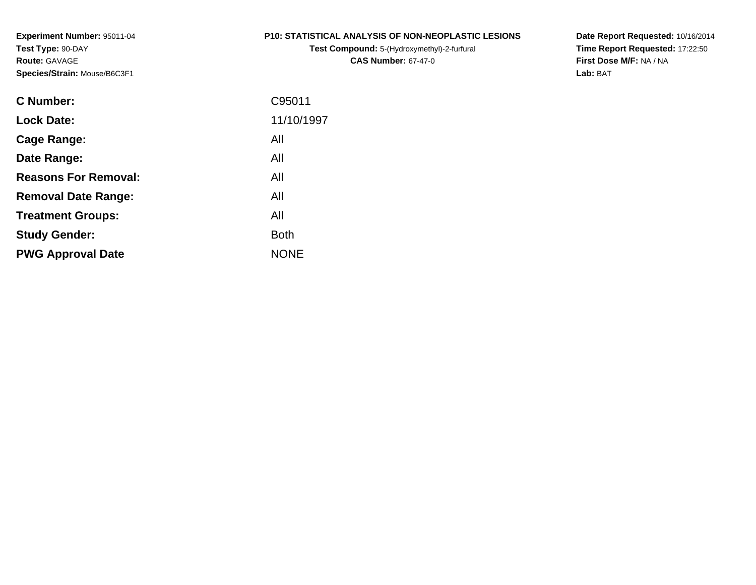**Experiment Number:** 95011-04**Test Type:** 90-DAY**Route:** GAVAGE**Species/Strain:** Mouse/B6C3F1

#### **P10: STATISTICAL ANALYSIS OF NON-NEOPLASTIC LESIONS**

**Test Compound:** 5-(Hydroxymethyl)-2-furfural **CAS Number:** 67-47-0

**Date Report Requested:** 10/16/2014 **Time Report Requested:** 17:22:50**First Dose M/F:** NA / NA**Lab:** BAT

| <b>C</b> Number:            | C95011      |
|-----------------------------|-------------|
| <b>Lock Date:</b>           | 11/10/1997  |
| Cage Range:                 | All         |
| Date Range:                 | All         |
| <b>Reasons For Removal:</b> | All         |
| <b>Removal Date Range:</b>  | All         |
| <b>Treatment Groups:</b>    | All         |
| <b>Study Gender:</b>        | <b>Both</b> |
| <b>PWG Approval Date</b>    | <b>NONE</b> |
|                             |             |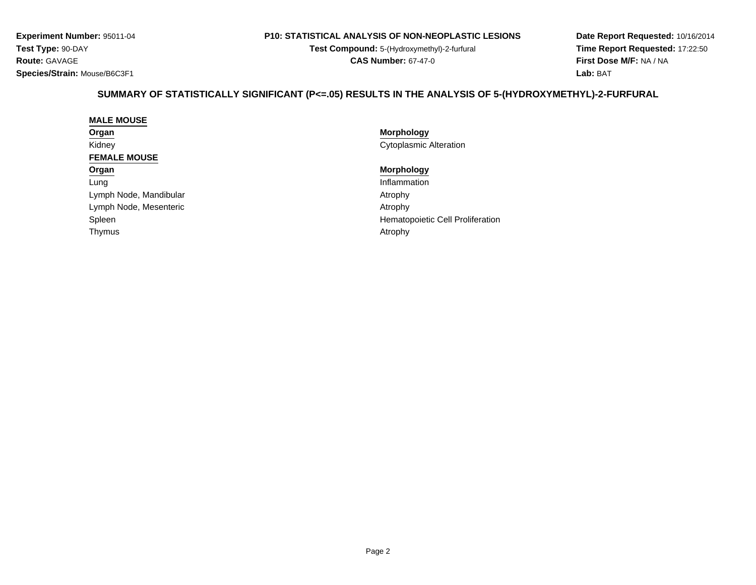**Experiment Number:** 95011-04**Test Type:** 90-DAY**Route:** GAVAGE**Species/Strain:** Mouse/B6C3F1

#### **P10: STATISTICAL ANALYSIS OF NON-NEOPLASTIC LESIONS**

**Test Compound:** 5-(Hydroxymethyl)-2-furfural **CAS Number:** 67-47-0

**Date Report Requested:** 10/16/2014**Time Report Requested:** 17:22:50**First Dose M/F:** NA / NA**Lab:** BAT

## **SUMMARY OF STATISTICALLY SIGNIFICANT (P<=.05) RESULTS IN THE ANALYSIS OF 5-(HYDROXYMETHYL)-2-FURFURAL**

#### **MALE MOUSEOrgan**Kidney**FEMALE MOUSEOrgan**LungLymph Node, MandibularLymph Node, Mesentericc and the contract of the contract of the contract of the contract of the contract of the contract of the contract of  $\mathcal{A}$ Spleen

Thymus

 **Morphology** Cytoplasmic Alteration

### **Morphology**

 Inflammation AtrophyAtrophy Hematopoietic Cell Proliferation<br>Atrophy s and the contract of the contract of the contract of the contract of the contract of the contract of the contract of the contract of the contract of the contract of the contract of the contract of the contract of the cont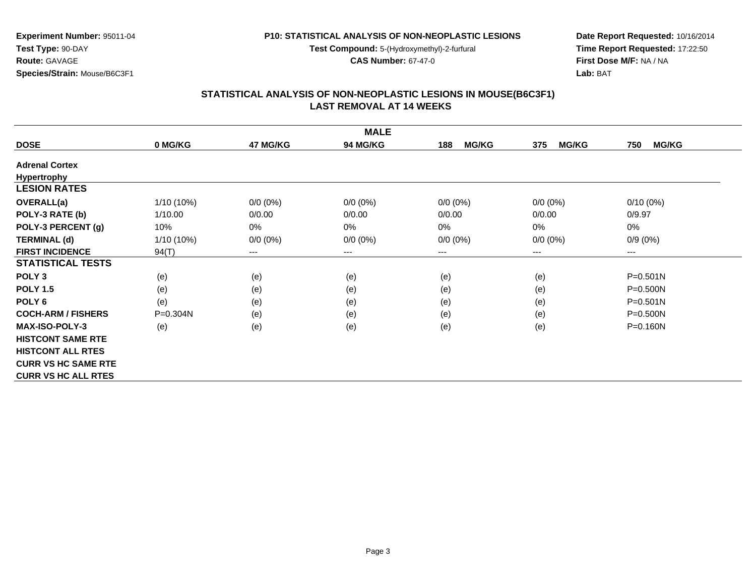**Test Compound:** 5-(Hydroxymethyl)-2-furfural

**CAS Number:** 67-47-0

**Date Report Requested:** 10/16/2014**Time Report Requested:** 17:22:50**First Dose M/F:** NA / NA**Lab:** BAT

## **STATISTICAL ANALYSIS OF NON-NEOPLASTIC LESIONS IN MOUSE(B6C3F1) LAST REMOVAL AT 14 WEEKS**

|                            |              |                        | <b>MALE</b>     |                     |                     |                     |
|----------------------------|--------------|------------------------|-----------------|---------------------|---------------------|---------------------|
| <b>DOSE</b>                | 0 MG/KG      | 47 MG/KG               | <b>94 MG/KG</b> | <b>MG/KG</b><br>188 | <b>MG/KG</b><br>375 | <b>MG/KG</b><br>750 |
| <b>Adrenal Cortex</b>      |              |                        |                 |                     |                     |                     |
| <b>Hypertrophy</b>         |              |                        |                 |                     |                     |                     |
| <b>LESION RATES</b>        |              |                        |                 |                     |                     |                     |
| <b>OVERALL(a)</b>          | 1/10 (10%)   | $0/0 (0\%)$            | $0/0 (0\%)$     | $0/0 (0\%)$         | $0/0(0\%)$          | $0/10(0\%)$         |
| POLY-3 RATE (b)            | 1/10.00      | 0/0.00                 | 0/0.00          | 0/0.00              | 0/0.00              | 0/9.97              |
| POLY-3 PERCENT (g)         | 10%          | 0%                     | 0%              | 0%                  | 0%                  | 0%                  |
| <b>TERMINAL (d)</b>        | 1/10 (10%)   | $0/0 (0\%)$            | $0/0 (0\%)$     | $0/0 (0\%)$         | $0/0 (0\%)$         | $0/9(0\%)$          |
| <b>FIRST INCIDENCE</b>     | 94(T)        | $\qquad \qquad \cdots$ | ---             | ---                 | $---$               | ---                 |
| <b>STATISTICAL TESTS</b>   |              |                        |                 |                     |                     |                     |
| POLY <sub>3</sub>          | (e)          | (e)                    | (e)             | (e)                 | (e)                 | $P = 0.501N$        |
| <b>POLY 1.5</b>            | (e)          | (e)                    | (e)             | (e)                 | (e)                 | $P = 0.500N$        |
| POLY <sub>6</sub>          | (e)          | (e)                    | (e)             | (e)                 | (e)                 | $P = 0.501N$        |
| <b>COCH-ARM / FISHERS</b>  | $P = 0.304N$ | (e)                    | (e)             | (e)                 | (e)                 | $P = 0.500N$        |
| <b>MAX-ISO-POLY-3</b>      | (e)          | (e)                    | (e)             | (e)                 | (e)                 | $P = 0.160N$        |
| <b>HISTCONT SAME RTE</b>   |              |                        |                 |                     |                     |                     |
| <b>HISTCONT ALL RTES</b>   |              |                        |                 |                     |                     |                     |
| <b>CURR VS HC SAME RTE</b> |              |                        |                 |                     |                     |                     |
| <b>CURR VS HC ALL RTES</b> |              |                        |                 |                     |                     |                     |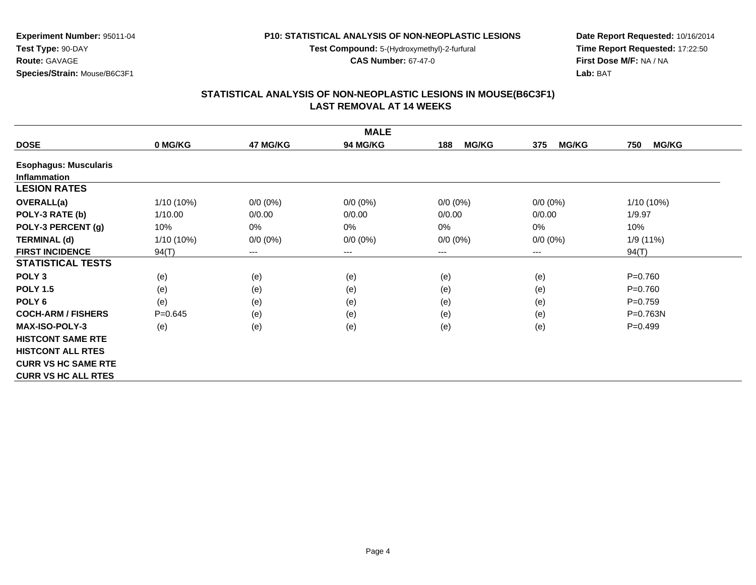**Test Compound:** 5-(Hydroxymethyl)-2-furfural

**CAS Number:** 67-47-0

**Date Report Requested:** 10/16/2014**Time Report Requested:** 17:22:50**First Dose M/F:** NA / NA**Lab:** BAT

### **STATISTICAL ANALYSIS OF NON-NEOPLASTIC LESIONS IN MOUSE(B6C3F1) LAST REMOVAL AT 14 WEEKS**

|                              |              |             | <b>MALE</b> |                     |                     |                     |
|------------------------------|--------------|-------------|-------------|---------------------|---------------------|---------------------|
| <b>DOSE</b>                  | 0 MG/KG      | 47 MG/KG    | 94 MG/KG    | <b>MG/KG</b><br>188 | <b>MG/KG</b><br>375 | <b>MG/KG</b><br>750 |
| <b>Esophagus: Muscularis</b> |              |             |             |                     |                     |                     |
| <b>Inflammation</b>          |              |             |             |                     |                     |                     |
| <b>LESION RATES</b>          |              |             |             |                     |                     |                     |
| <b>OVERALL(a)</b>            | $1/10(10\%)$ | $0/0 (0\%)$ | $0/0 (0\%)$ | $0/0 (0\%)$         | $0/0 (0\%)$         | 1/10 (10%)          |
| POLY-3 RATE (b)              | 1/10.00      | 0/0.00      | 0/0.00      | 0/0.00              | 0/0.00              | 1/9.97              |
| POLY-3 PERCENT (g)           | 10%          | 0%          | $0\%$       | 0%                  | $0\%$               | 10%                 |
| <b>TERMINAL (d)</b>          | 1/10 (10%)   | $0/0 (0\%)$ | $0/0 (0\%)$ | $0/0 (0\%)$         | $0/0 (0\%)$         | 1/9 (11%)           |
| <b>FIRST INCIDENCE</b>       | 94(T)        | $---$       | $---$       | ---                 | $---$               | 94(T)               |
| <b>STATISTICAL TESTS</b>     |              |             |             |                     |                     |                     |
| POLY <sub>3</sub>            | (e)          | (e)         | (e)         | (e)                 | (e)                 | $P=0.760$           |
| <b>POLY 1.5</b>              | (e)          | (e)         | (e)         | (e)                 | (e)                 | $P=0.760$           |
| POLY <sub>6</sub>            | (e)          | (e)         | (e)         | (e)                 | (e)                 | $P=0.759$           |
| <b>COCH-ARM / FISHERS</b>    | $P = 0.645$  | (e)         | (e)         | (e)                 | (e)                 | $P = 0.763N$        |
| <b>MAX-ISO-POLY-3</b>        | (e)          | (e)         | (e)         | (e)                 | (e)                 | $P=0.499$           |
| <b>HISTCONT SAME RTE</b>     |              |             |             |                     |                     |                     |
| <b>HISTCONT ALL RTES</b>     |              |             |             |                     |                     |                     |
| <b>CURR VS HC SAME RTE</b>   |              |             |             |                     |                     |                     |
| <b>CURR VS HC ALL RTES</b>   |              |             |             |                     |                     |                     |

**Species/Strain:** Mouse/B6C3F1

**Experiment Number:** 95011-04

**Test Type:** 90-DAY**Route:** GAVAGE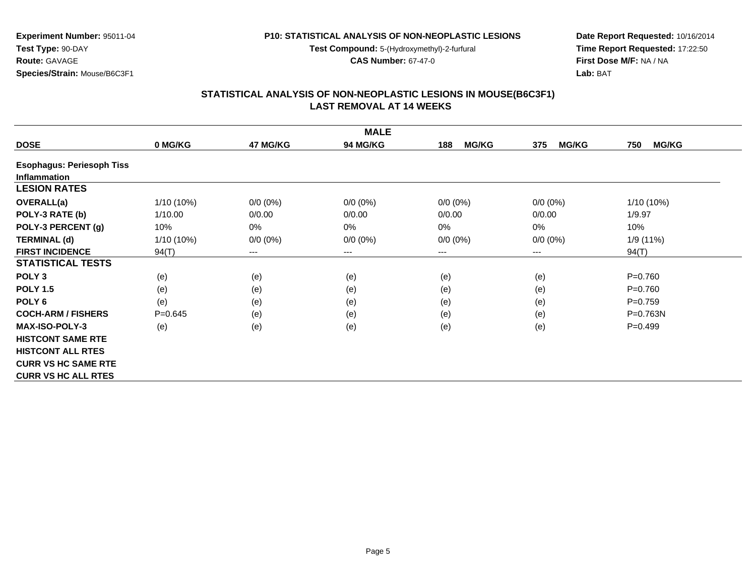**Test Compound:** 5-(Hydroxymethyl)-2-furfural

**CAS Number:** 67-47-0

**Date Report Requested:** 10/16/2014**Time Report Requested:** 17:22:50**First Dose M/F:** NA / NA**Lab:** BAT

# **STATISTICAL ANALYSIS OF NON-NEOPLASTIC LESIONS IN MOUSE(B6C3F1) LAST REMOVAL AT 14 WEEKS**

|                                  |              |             | <b>MALE</b>     |                     |                     |                     |
|----------------------------------|--------------|-------------|-----------------|---------------------|---------------------|---------------------|
| <b>DOSE</b>                      | 0 MG/KG      | 47 MG/KG    | <b>94 MG/KG</b> | 188<br><b>MG/KG</b> | <b>MG/KG</b><br>375 | <b>MG/KG</b><br>750 |
| <b>Esophagus: Periesoph Tiss</b> |              |             |                 |                     |                     |                     |
| <b>Inflammation</b>              |              |             |                 |                     |                     |                     |
| <b>LESION RATES</b>              |              |             |                 |                     |                     |                     |
| <b>OVERALL(a)</b>                | $1/10(10\%)$ | $0/0 (0\%)$ | $0/0 (0\%)$     | $0/0 (0\%)$         | $0/0 (0\%)$         | 1/10 (10%)          |
| POLY-3 RATE (b)                  | 1/10.00      | 0/0.00      | 0/0.00          | 0/0.00              | 0/0.00              | 1/9.97              |
| POLY-3 PERCENT (g)               | 10%          | 0%          | 0%              | 0%                  | 0%                  | 10%                 |
| <b>TERMINAL (d)</b>              | $1/10(10\%)$ | $0/0 (0\%)$ | $0/0 (0\%)$     | $0/0 (0\%)$         | $0/0 (0\%)$         | 1/9 (11%)           |
| <b>FIRST INCIDENCE</b>           | 94(T)        | $---$       | ---             | ---                 | ---                 | 94(T)               |
| <b>STATISTICAL TESTS</b>         |              |             |                 |                     |                     |                     |
| POLY <sub>3</sub>                | (e)          | (e)         | (e)             | (e)                 | (e)                 | $P = 0.760$         |
| <b>POLY 1.5</b>                  | (e)          | (e)         | (e)             | (e)                 | (e)                 | $P = 0.760$         |
| POLY <sub>6</sub>                | (e)          | (e)         | (e)             | (e)                 | (e)                 | $P = 0.759$         |
| <b>COCH-ARM / FISHERS</b>        | $P = 0.645$  | (e)         | (e)             | (e)                 | (e)                 | P=0.763N            |
| <b>MAX-ISO-POLY-3</b>            | (e)          | (e)         | (e)             | (e)                 | (e)                 | $P = 0.499$         |
| <b>HISTCONT SAME RTE</b>         |              |             |                 |                     |                     |                     |
| <b>HISTCONT ALL RTES</b>         |              |             |                 |                     |                     |                     |
| <b>CURR VS HC SAME RTE</b>       |              |             |                 |                     |                     |                     |
| <b>CURR VS HC ALL RTES</b>       |              |             |                 |                     |                     |                     |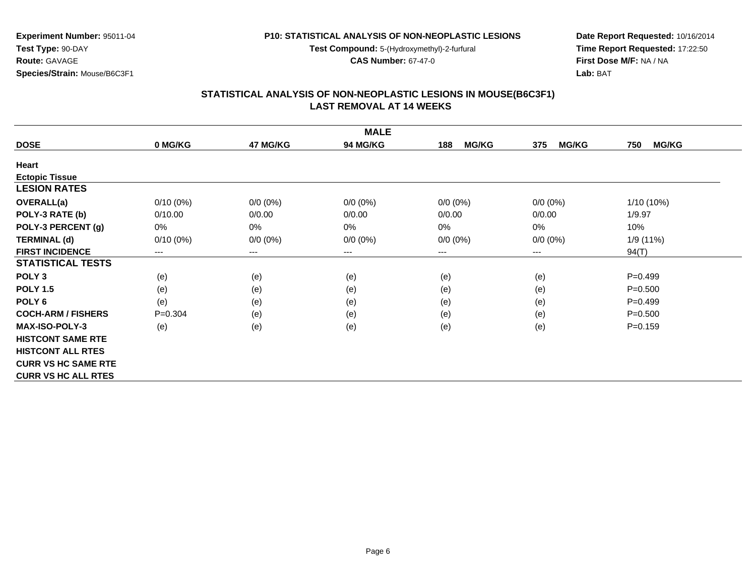**Test Compound:** 5-(Hydroxymethyl)-2-furfural

**CAS Number:** 67-47-0

**Date Report Requested:** 10/16/2014**Time Report Requested:** 17:22:50**First Dose M/F:** NA / NA**Lab:** BAT

#### **STATISTICAL ANALYSIS OF NON-NEOPLASTIC LESIONS IN MOUSE(B6C3F1) LAST REMOVAL AT 14 WEEKS**

|                            |             |             | <b>MALE</b> |                     |                     |                     |
|----------------------------|-------------|-------------|-------------|---------------------|---------------------|---------------------|
| <b>DOSE</b>                | 0 MG/KG     | 47 MG/KG    | 94 MG/KG    | <b>MG/KG</b><br>188 | <b>MG/KG</b><br>375 | <b>MG/KG</b><br>750 |
| Heart                      |             |             |             |                     |                     |                     |
| <b>Ectopic Tissue</b>      |             |             |             |                     |                     |                     |
| <b>LESION RATES</b>        |             |             |             |                     |                     |                     |
| <b>OVERALL(a)</b>          | $0/10(0\%)$ | $0/0 (0\%)$ | $0/0 (0\%)$ | $0/0 (0\%)$         | $0/0$ $(0%)$        | 1/10 (10%)          |
| POLY-3 RATE (b)            | 0/10.00     | 0/0.00      | 0/0.00      | 0/0.00              | 0/0.00              | 1/9.97              |
| POLY-3 PERCENT (g)         | 0%          | 0%          | 0%          | 0%                  | $0\%$               | 10%                 |
| <b>TERMINAL (d)</b>        | $0/10(0\%)$ | $0/0 (0\%)$ | $0/0 (0\%)$ | $0/0 (0\%)$         | $0/0 (0\%)$         | 1/9 (11%)           |
| <b>FIRST INCIDENCE</b>     | $---$       | $---$       | $--$        | ---                 | ---                 | 94(T)               |
| <b>STATISTICAL TESTS</b>   |             |             |             |                     |                     |                     |
| POLY <sub>3</sub>          | (e)         | (e)         | (e)         | (e)                 | (e)                 | $P=0.499$           |
| <b>POLY 1.5</b>            | (e)         | (e)         | (e)         | (e)                 | (e)                 | $P = 0.500$         |
| POLY <sub>6</sub>          | (e)         | (e)         | (e)         | (e)                 | (e)                 | $P=0.499$           |
| <b>COCH-ARM / FISHERS</b>  | $P = 0.304$ | (e)         | (e)         | (e)                 | (e)                 | $P = 0.500$         |
| <b>MAX-ISO-POLY-3</b>      | (e)         | (e)         | (e)         | (e)                 | (e)                 | $P = 0.159$         |
| <b>HISTCONT SAME RTE</b>   |             |             |             |                     |                     |                     |
| <b>HISTCONT ALL RTES</b>   |             |             |             |                     |                     |                     |
| <b>CURR VS HC SAME RTE</b> |             |             |             |                     |                     |                     |
| <b>CURR VS HC ALL RTES</b> |             |             |             |                     |                     |                     |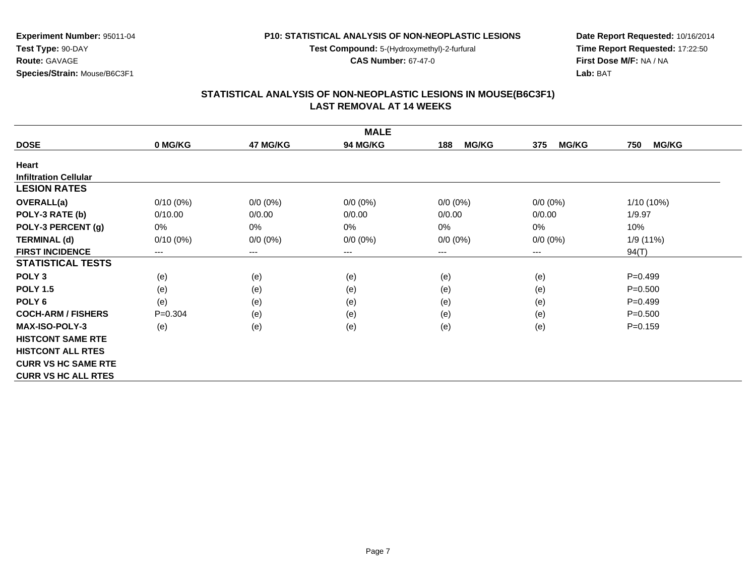**Test Compound:** 5-(Hydroxymethyl)-2-furfural

**CAS Number:** 67-47-0

**Date Report Requested:** 10/16/2014**Time Report Requested:** 17:22:50**First Dose M/F:** NA / NA**Lab:** BAT

### **STATISTICAL ANALYSIS OF NON-NEOPLASTIC LESIONS IN MOUSE(B6C3F1) LAST REMOVAL AT 14 WEEKS**

|                              |             |                        | <b>MALE</b>     |                     |                     |                     |
|------------------------------|-------------|------------------------|-----------------|---------------------|---------------------|---------------------|
| <b>DOSE</b>                  | 0 MG/KG     | 47 MG/KG               | <b>94 MG/KG</b> | <b>MG/KG</b><br>188 | <b>MG/KG</b><br>375 | <b>MG/KG</b><br>750 |
| Heart                        |             |                        |                 |                     |                     |                     |
| <b>Infiltration Cellular</b> |             |                        |                 |                     |                     |                     |
| <b>LESION RATES</b>          |             |                        |                 |                     |                     |                     |
| <b>OVERALL(a)</b>            | $0/10(0\%)$ | $0/0 (0\%)$            | $0/0 (0\%)$     | $0/0 (0\%)$         | $0/0 (0\%)$         | 1/10 (10%)          |
| POLY-3 RATE (b)              | 0/10.00     | 0/0.00                 | 0/0.00          | 0/0.00              | 0/0.00              | 1/9.97              |
| POLY-3 PERCENT (g)           | 0%          | 0%                     | 0%              | 0%                  | 0%                  | 10%                 |
| <b>TERMINAL (d)</b>          | $0/10(0\%)$ | $0/0 (0\%)$            | $0/0 (0\%)$     | $0/0 (0\%)$         | $0/0 (0\%)$         | 1/9 (11%)           |
| <b>FIRST INCIDENCE</b>       | $---$       | $\qquad \qquad \cdots$ | $---$           | ---                 | $---$               | 94(T)               |
| <b>STATISTICAL TESTS</b>     |             |                        |                 |                     |                     |                     |
| POLY <sub>3</sub>            | (e)         | (e)                    | (e)             | (e)                 | (e)                 | $P = 0.499$         |
| <b>POLY 1.5</b>              | (e)         | (e)                    | (e)             | (e)                 | (e)                 | $P = 0.500$         |
| POLY <sub>6</sub>            | (e)         | (e)                    | (e)             | (e)                 | (e)                 | $P = 0.499$         |
| <b>COCH-ARM / FISHERS</b>    | $P = 0.304$ | (e)                    | (e)             | (e)                 | (e)                 | $P = 0.500$         |
| <b>MAX-ISO-POLY-3</b>        | (e)         | (e)                    | (e)             | (e)                 | (e)                 | $P = 0.159$         |
| <b>HISTCONT SAME RTE</b>     |             |                        |                 |                     |                     |                     |
| <b>HISTCONT ALL RTES</b>     |             |                        |                 |                     |                     |                     |
| <b>CURR VS HC SAME RTE</b>   |             |                        |                 |                     |                     |                     |
| <b>CURR VS HC ALL RTES</b>   |             |                        |                 |                     |                     |                     |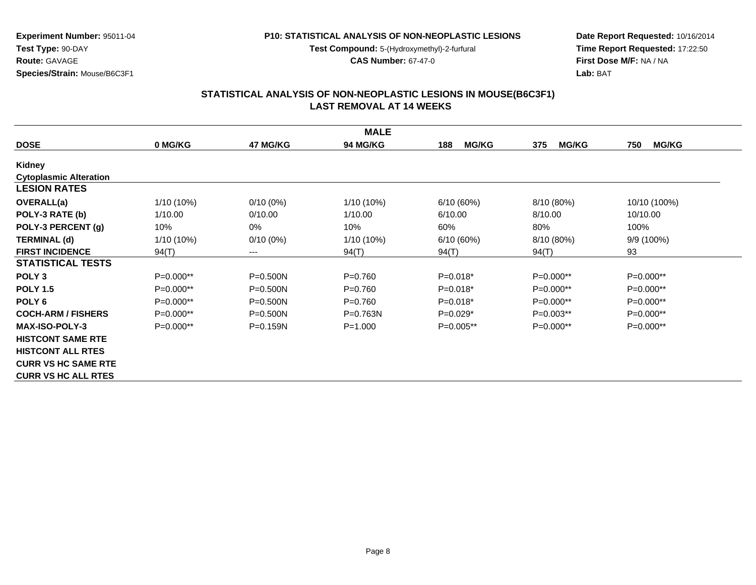**Test Compound:** 5-(Hydroxymethyl)-2-furfural

**CAS Number:** 67-47-0

**Date Report Requested:** 10/16/2014**Time Report Requested:** 17:22:50**First Dose M/F:** NA / NA**Lab:** BAT

### **STATISTICAL ANALYSIS OF NON-NEOPLASTIC LESIONS IN MOUSE(B6C3F1) LAST REMOVAL AT 14 WEEKS**

|                               |             |              | <b>MALE</b>     |                     |                     |                     |
|-------------------------------|-------------|--------------|-----------------|---------------------|---------------------|---------------------|
| <b>DOSE</b>                   | 0 MG/KG     | 47 MG/KG     | <b>94 MG/KG</b> | <b>MG/KG</b><br>188 | <b>MG/KG</b><br>375 | 750<br><b>MG/KG</b> |
| Kidney                        |             |              |                 |                     |                     |                     |
| <b>Cytoplasmic Alteration</b> |             |              |                 |                     |                     |                     |
| <b>LESION RATES</b>           |             |              |                 |                     |                     |                     |
| <b>OVERALL(a)</b>             | 1/10 (10%)  | $0/10(0\%)$  | $1/10(10\%)$    | 6/10(60%)           | 8/10 (80%)          | 10/10 (100%)        |
| POLY-3 RATE (b)               | 1/10.00     | 0/10.00      | 1/10.00         | 6/10.00             | 8/10.00             | 10/10.00            |
| POLY-3 PERCENT (g)            | 10%         | 0%           | 10%             | 60%                 | 80%                 | 100%                |
| <b>TERMINAL (d)</b>           | 1/10 (10%)  | $0/10(0\%)$  | 1/10 (10%)      | 6/10(60%)           | 8/10 (80%)          | 9/9 (100%)          |
| <b>FIRST INCIDENCE</b>        | 94(T)       | ---          | 94(T)           | 94(T)               | 94(T)               | 93                  |
| <b>STATISTICAL TESTS</b>      |             |              |                 |                     |                     |                     |
| POLY <sub>3</sub>             | $P=0.000**$ | $P = 0.500N$ | $P = 0.760$     | $P=0.018*$          | $P=0.000**$         | $P=0.000**$         |
| <b>POLY 1.5</b>               | $P=0.000**$ | $P = 0.500N$ | $P = 0.760$     | $P=0.018*$          | $P=0.000**$         | P=0.000**           |
| POLY <sub>6</sub>             | $P=0.000**$ | $P = 0.500N$ | $P=0.760$       | $P=0.018*$          | P=0.000**           | P=0.000**           |
| <b>COCH-ARM / FISHERS</b>     | $P=0.000**$ | $P = 0.500N$ | $P = 0.763N$    | $P=0.029*$          | $P=0.003**$         | $P=0.000**$         |
| <b>MAX-ISO-POLY-3</b>         | $P=0.000**$ | $P = 0.159N$ | $P = 1.000$     | $P=0.005**$         | $P=0.000**$         | $P=0.000**$         |
| <b>HISTCONT SAME RTE</b>      |             |              |                 |                     |                     |                     |
| <b>HISTCONT ALL RTES</b>      |             |              |                 |                     |                     |                     |
| <b>CURR VS HC SAME RTE</b>    |             |              |                 |                     |                     |                     |
| <b>CURR VS HC ALL RTES</b>    |             |              |                 |                     |                     |                     |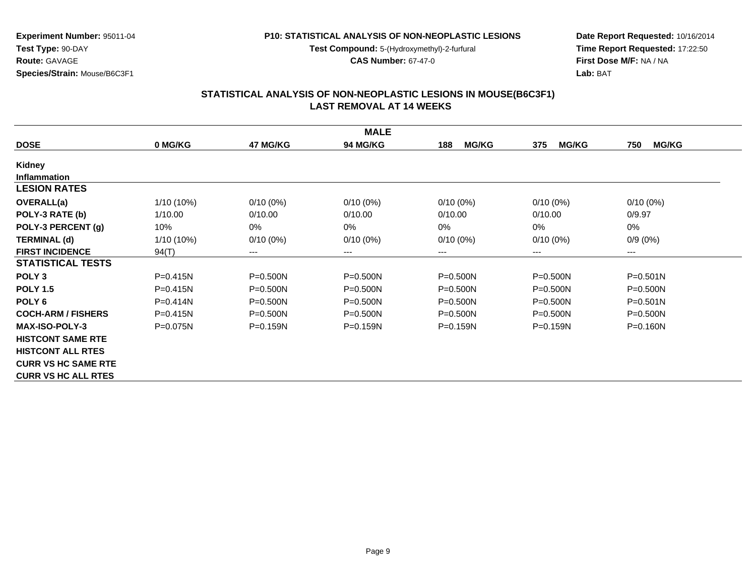**Test Compound:** 5-(Hydroxymethyl)-2-furfural

**CAS Number:** 67-47-0

**Date Report Requested:** 10/16/2014**Time Report Requested:** 17:22:50**First Dose M/F:** NA / NA**Lab:** BAT

#### **STATISTICAL ANALYSIS OF NON-NEOPLASTIC LESIONS IN MOUSE(B6C3F1) LAST REMOVAL AT 14 WEEKS**

|                            |              |              | <b>MALE</b>     |                     |                     |                     |
|----------------------------|--------------|--------------|-----------------|---------------------|---------------------|---------------------|
| <b>DOSE</b>                | 0 MG/KG      | 47 MG/KG     | <b>94 MG/KG</b> | <b>MG/KG</b><br>188 | <b>MG/KG</b><br>375 | <b>MG/KG</b><br>750 |
| <b>Kidney</b>              |              |              |                 |                     |                     |                     |
| <b>Inflammation</b>        |              |              |                 |                     |                     |                     |
| <b>LESION RATES</b>        |              |              |                 |                     |                     |                     |
| <b>OVERALL(a)</b>          | $1/10(10\%)$ | $0/10(0\%)$  | $0/10(0\%)$     | $0/10(0\%)$         | $0/10(0\%)$         | $0/10(0\%)$         |
| POLY-3 RATE (b)            | 1/10.00      | 0/10.00      | 0/10.00         | 0/10.00             | 0/10.00             | 0/9.97              |
| POLY-3 PERCENT (g)         | 10%          | $0\%$        | 0%              | 0%                  | $0\%$               | 0%                  |
| <b>TERMINAL (d)</b>        | $1/10(10\%)$ | $0/10(0\%)$  | $0/10(0\%)$     | $0/10(0\%)$         | $0/10(0\%)$         | $0/9(0\%)$          |
| <b>FIRST INCIDENCE</b>     | 94(T)        | $--$         | ---             | ---                 | $---$               | ---                 |
| <b>STATISTICAL TESTS</b>   |              |              |                 |                     |                     |                     |
| POLY <sub>3</sub>          | $P = 0.415N$ | $P = 0.500N$ | $P = 0.500N$    | $P = 0.500N$        | $P = 0.500N$        | $P = 0.501N$        |
| <b>POLY 1.5</b>            | $P = 0.415N$ | $P = 0.500N$ | $P = 0.500N$    | P=0.500N            | P=0.500N            | P=0.500N            |
| POLY <sub>6</sub>          | $P = 0.414N$ | $P = 0.500N$ | $P = 0.500N$    | $P = 0.500N$        | $P = 0.500N$        | $P = 0.501N$        |
| <b>COCH-ARM / FISHERS</b>  | $P = 0.415N$ | $P = 0.500N$ | $P = 0.500N$    | $P = 0.500N$        | $P = 0.500N$        | $P = 0.500N$        |
| <b>MAX-ISO-POLY-3</b>      | $P = 0.075N$ | $P = 0.159N$ | $P = 0.159N$    | $P = 0.159N$        | $P = 0.159N$        | $P = 0.160N$        |
| <b>HISTCONT SAME RTE</b>   |              |              |                 |                     |                     |                     |
| <b>HISTCONT ALL RTES</b>   |              |              |                 |                     |                     |                     |
| <b>CURR VS HC SAME RTE</b> |              |              |                 |                     |                     |                     |
| <b>CURR VS HC ALL RTES</b> |              |              |                 |                     |                     |                     |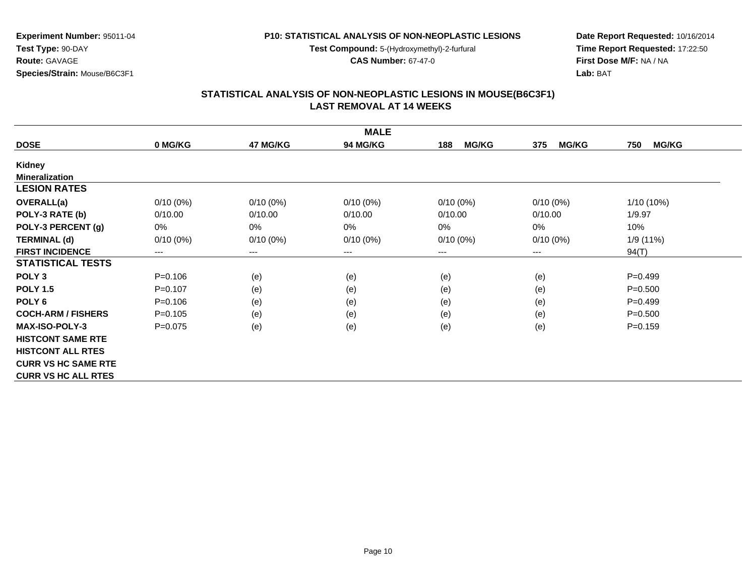**Test Compound:** 5-(Hydroxymethyl)-2-furfural

**CAS Number:** 67-47-0

**Date Report Requested:** 10/16/2014**Time Report Requested:** 17:22:50**First Dose M/F:** NA / NA**Lab:** BAT

#### **STATISTICAL ANALYSIS OF NON-NEOPLASTIC LESIONS IN MOUSE(B6C3F1) LAST REMOVAL AT 14 WEEKS**

|                            |             |             | <b>MALE</b>     |                     |                     |                     |
|----------------------------|-------------|-------------|-----------------|---------------------|---------------------|---------------------|
| <b>DOSE</b>                | 0 MG/KG     | 47 MG/KG    | <b>94 MG/KG</b> | <b>MG/KG</b><br>188 | <b>MG/KG</b><br>375 | <b>MG/KG</b><br>750 |
| <b>Kidney</b>              |             |             |                 |                     |                     |                     |
| <b>Mineralization</b>      |             |             |                 |                     |                     |                     |
| <b>LESION RATES</b>        |             |             |                 |                     |                     |                     |
| <b>OVERALL(a)</b>          | $0/10(0\%)$ | $0/10(0\%)$ | $0/10(0\%)$     | $0/10(0\%)$         | $0/10(0\%)$         | 1/10 (10%)          |
| POLY-3 RATE (b)            | 0/10.00     | 0/10.00     | 0/10.00         | 0/10.00             | 0/10.00             | 1/9.97              |
| POLY-3 PERCENT (g)         | 0%          | $0\%$       | 0%              | 0%                  | $0\%$               | 10%                 |
| <b>TERMINAL (d)</b>        | $0/10(0\%)$ | $0/10(0\%)$ | $0/10(0\%)$     | $0/10(0\%)$         | $0/10(0\%)$         | 1/9 (11%)           |
| <b>FIRST INCIDENCE</b>     | $---$       | $---$       | ---             | ---                 | $---$               | 94(T)               |
| <b>STATISTICAL TESTS</b>   |             |             |                 |                     |                     |                     |
| POLY <sub>3</sub>          | $P = 0.106$ | (e)         | (e)             | (e)                 | (e)                 | $P=0.499$           |
| <b>POLY 1.5</b>            | $P=0.107$   | (e)         | (e)             | (e)                 | (e)                 | $P = 0.500$         |
| POLY <sub>6</sub>          | $P = 0.106$ | (e)         | (e)             | (e)                 | (e)                 | $P = 0.499$         |
| <b>COCH-ARM / FISHERS</b>  | $P = 0.105$ | (e)         | (e)             | (e)                 | (e)                 | $P = 0.500$         |
| <b>MAX-ISO-POLY-3</b>      | $P=0.075$   | (e)         | (e)             | (e)                 | (e)                 | $P = 0.159$         |
| <b>HISTCONT SAME RTE</b>   |             |             |                 |                     |                     |                     |
| <b>HISTCONT ALL RTES</b>   |             |             |                 |                     |                     |                     |
| <b>CURR VS HC SAME RTE</b> |             |             |                 |                     |                     |                     |
| <b>CURR VS HC ALL RTES</b> |             |             |                 |                     |                     |                     |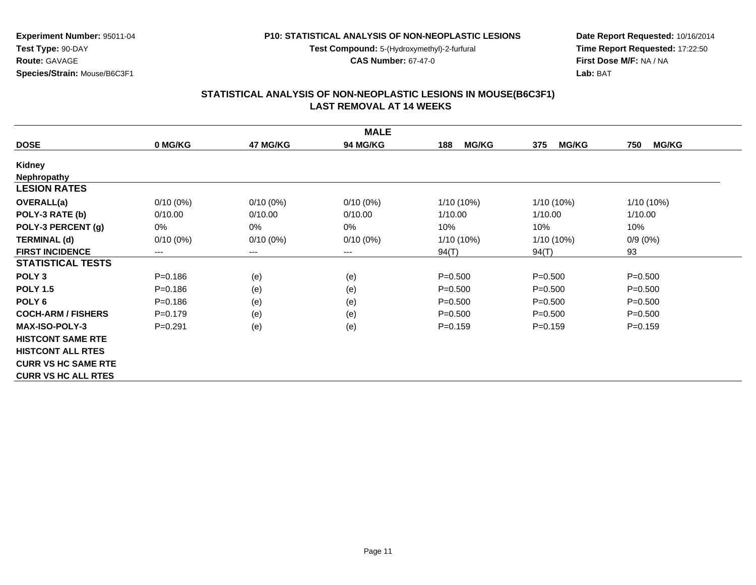**Test Compound:** 5-(Hydroxymethyl)-2-furfural

**CAS Number:** 67-47-0

**Date Report Requested:** 10/16/2014**Time Report Requested:** 17:22:50**First Dose M/F:** NA / NA**Lab:** BAT

#### **STATISTICAL ANALYSIS OF NON-NEOPLASTIC LESIONS IN MOUSE(B6C3F1) LAST REMOVAL AT 14 WEEKS**

|                            |             |             | <b>MALE</b>     |                     |                     |                     |
|----------------------------|-------------|-------------|-----------------|---------------------|---------------------|---------------------|
| <b>DOSE</b>                | 0 MG/KG     | 47 MG/KG    | <b>94 MG/KG</b> | <b>MG/KG</b><br>188 | <b>MG/KG</b><br>375 | 750<br><b>MG/KG</b> |
| <b>Kidney</b>              |             |             |                 |                     |                     |                     |
| <b>Nephropathy</b>         |             |             |                 |                     |                     |                     |
| <b>LESION RATES</b>        |             |             |                 |                     |                     |                     |
| <b>OVERALL(a)</b>          | $0/10(0\%)$ | $0/10(0\%)$ | $0/10(0\%)$     | $1/10(10\%)$        | $1/10(10\%)$        | 1/10 (10%)          |
| POLY-3 RATE (b)            | 0/10.00     | 0/10.00     | 0/10.00         | 1/10.00             | 1/10.00             | 1/10.00             |
| POLY-3 PERCENT (g)         | $0\%$       | $0\%$       | 0%              | 10%                 | 10%                 | 10%                 |
| <b>TERMINAL (d)</b>        | $0/10(0\%)$ | $0/10(0\%)$ | $0/10(0\%)$     | $1/10(10\%)$        | $1/10(10\%)$        | $0/9(0\%)$          |
| <b>FIRST INCIDENCE</b>     | $--$        | $---$       | ---             | 94(T)               | 94(T)               | 93                  |
| <b>STATISTICAL TESTS</b>   |             |             |                 |                     |                     |                     |
| POLY <sub>3</sub>          | $P = 0.186$ | (e)         | (e)             | $P = 0.500$         | $P = 0.500$         | $P = 0.500$         |
| <b>POLY 1.5</b>            | $P = 0.186$ | (e)         | (e)             | $P = 0.500$         | $P = 0.500$         | $P = 0.500$         |
| POLY <sub>6</sub>          | $P = 0.186$ | (e)         | (e)             | $P = 0.500$         | $P = 0.500$         | $P = 0.500$         |
| <b>COCH-ARM / FISHERS</b>  | $P=0.179$   | (e)         | (e)             | $P = 0.500$         | $P = 0.500$         | $P = 0.500$         |
| <b>MAX-ISO-POLY-3</b>      | $P = 0.291$ | (e)         | (e)             | $P=0.159$           | $P = 0.159$         | $P = 0.159$         |
| <b>HISTCONT SAME RTE</b>   |             |             |                 |                     |                     |                     |
| <b>HISTCONT ALL RTES</b>   |             |             |                 |                     |                     |                     |
| <b>CURR VS HC SAME RTE</b> |             |             |                 |                     |                     |                     |
| <b>CURR VS HC ALL RTES</b> |             |             |                 |                     |                     |                     |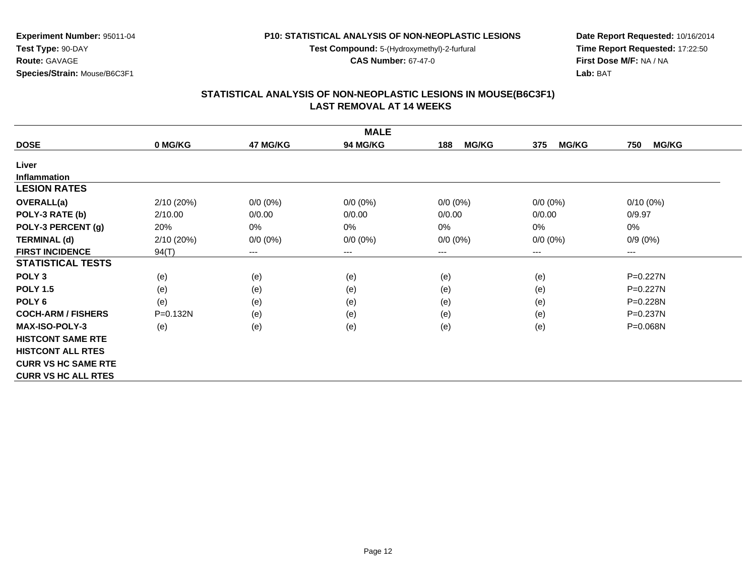**Test Compound:** 5-(Hydroxymethyl)-2-furfural

**CAS Number:** 67-47-0

**Date Report Requested:** 10/16/2014**Time Report Requested:** 17:22:50**First Dose M/F:** NA / NA**Lab:** BAT

#### **STATISTICAL ANALYSIS OF NON-NEOPLASTIC LESIONS IN MOUSE(B6C3F1) LAST REMOVAL AT 14 WEEKS**

|                            |              |             | <b>MALE</b> |                     |                     |                            |
|----------------------------|--------------|-------------|-------------|---------------------|---------------------|----------------------------|
| <b>DOSE</b>                | 0 MG/KG      | 47 MG/KG    | 94 MG/KG    | <b>MG/KG</b><br>188 | <b>MG/KG</b><br>375 | <b>MG/KG</b><br>750        |
| Liver                      |              |             |             |                     |                     |                            |
| <b>Inflammation</b>        |              |             |             |                     |                     |                            |
| <b>LESION RATES</b>        |              |             |             |                     |                     |                            |
| <b>OVERALL(a)</b>          | 2/10 (20%)   | $0/0 (0\%)$ | $0/0 (0\%)$ | $0/0 (0\%)$         | $0/0 (0\%)$         | $0/10(0\%)$                |
| POLY-3 RATE (b)            | 2/10.00      | 0/0.00      | 0/0.00      | 0/0.00              | 0/0.00              | 0/9.97                     |
| POLY-3 PERCENT (g)         | 20%          | 0%          | 0%          | $0\%$               | 0%                  | $0\%$                      |
| <b>TERMINAL (d)</b>        | 2/10 (20%)   | $0/0 (0\%)$ | $0/0 (0\%)$ | $0/0 (0\%)$         | $0/0 (0\%)$         | $0/9(0\%)$                 |
| <b>FIRST INCIDENCE</b>     | 94(T)        | $---$       | $---$       | ---                 | $---$               | $\qquad \qquad - \qquad -$ |
| <b>STATISTICAL TESTS</b>   |              |             |             |                     |                     |                            |
| POLY <sub>3</sub>          | (e)          | (e)         | (e)         | (e)                 | (e)                 | P=0.227N                   |
| <b>POLY 1.5</b>            | (e)          | (e)         | (e)         | (e)                 | (e)                 | $P=0.227N$                 |
| POLY <sub>6</sub>          | (e)          | (e)         | (e)         | (e)                 | (e)                 | $P = 0.228N$               |
| <b>COCH-ARM / FISHERS</b>  | $P = 0.132N$ | (e)         | (e)         | (e)                 | (e)                 | $P = 0.237N$               |
| <b>MAX-ISO-POLY-3</b>      | (e)          | (e)         | (e)         | (e)                 | (e)                 | P=0.068N                   |
| <b>HISTCONT SAME RTE</b>   |              |             |             |                     |                     |                            |
| <b>HISTCONT ALL RTES</b>   |              |             |             |                     |                     |                            |
| <b>CURR VS HC SAME RTE</b> |              |             |             |                     |                     |                            |
| <b>CURR VS HC ALL RTES</b> |              |             |             |                     |                     |                            |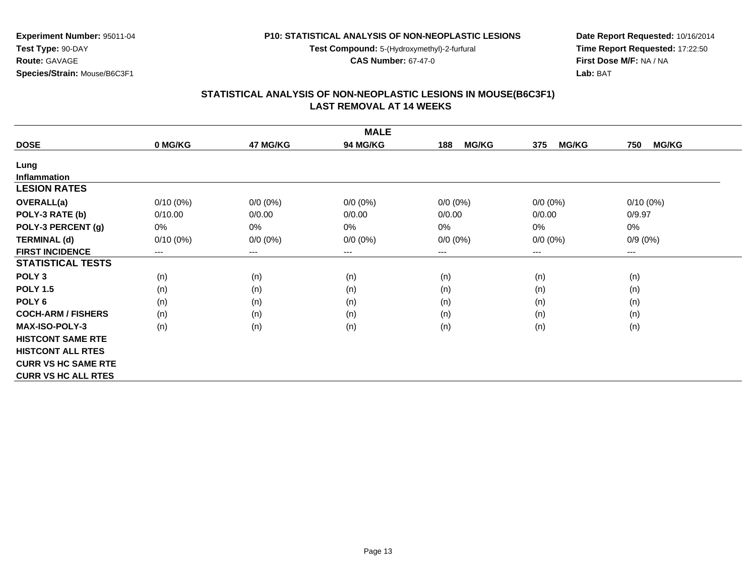**Test Compound:** 5-(Hydroxymethyl)-2-furfural

**CAS Number:** 67-47-0

**Date Report Requested:** 10/16/2014**Time Report Requested:** 17:22:50**First Dose M/F:** NA / NA**Lab:** BAT

#### **STATISTICAL ANALYSIS OF NON-NEOPLASTIC LESIONS IN MOUSE(B6C3F1) LAST REMOVAL AT 14 WEEKS**

|                            |             |                        | <b>MALE</b>     |                     |                     |                        |
|----------------------------|-------------|------------------------|-----------------|---------------------|---------------------|------------------------|
| <b>DOSE</b>                | 0 MG/KG     | 47 MG/KG               | <b>94 MG/KG</b> | <b>MG/KG</b><br>188 | <b>MG/KG</b><br>375 | <b>MG/KG</b><br>750    |
| Lung                       |             |                        |                 |                     |                     |                        |
| <b>Inflammation</b>        |             |                        |                 |                     |                     |                        |
| <b>LESION RATES</b>        |             |                        |                 |                     |                     |                        |
| <b>OVERALL(a)</b>          | $0/10(0\%)$ | $0/0 (0\%)$            | $0/0 (0\%)$     | $0/0 (0\%)$         | $0/0 (0\%)$         | $0/10(0\%)$            |
| POLY-3 RATE (b)            | 0/10.00     | 0/0.00                 | 0/0.00          | 0/0.00              | 0/0.00              | 0/9.97                 |
| POLY-3 PERCENT (g)         | 0%          | 0%                     | $0\%$           | 0%                  | 0%                  | 0%                     |
| <b>TERMINAL (d)</b>        | $0/10(0\%)$ | $0/0 (0\%)$            | $0/0 (0\%)$     | $0/0 (0\%)$         | $0/0 (0\%)$         | $0/9(0\%)$             |
| <b>FIRST INCIDENCE</b>     | $---$       | $\qquad \qquad \cdots$ | ---             | ---                 | $---$               | $\qquad \qquad \cdots$ |
| <b>STATISTICAL TESTS</b>   |             |                        |                 |                     |                     |                        |
| POLY <sub>3</sub>          | (n)         | (n)                    | (n)             | (n)                 | (n)                 | (n)                    |
| <b>POLY 1.5</b>            | (n)         | (n)                    | (n)             | (n)                 | (n)                 | (n)                    |
| POLY <sub>6</sub>          | (n)         | (n)                    | (n)             | (n)                 | (n)                 | (n)                    |
| <b>COCH-ARM / FISHERS</b>  | (n)         | (n)                    | (n)             | (n)                 | (n)                 | (n)                    |
| <b>MAX-ISO-POLY-3</b>      | (n)         | (n)                    | (n)             | (n)                 | (n)                 | (n)                    |
| <b>HISTCONT SAME RTE</b>   |             |                        |                 |                     |                     |                        |
| <b>HISTCONT ALL RTES</b>   |             |                        |                 |                     |                     |                        |
| <b>CURR VS HC SAME RTE</b> |             |                        |                 |                     |                     |                        |
| <b>CURR VS HC ALL RTES</b> |             |                        |                 |                     |                     |                        |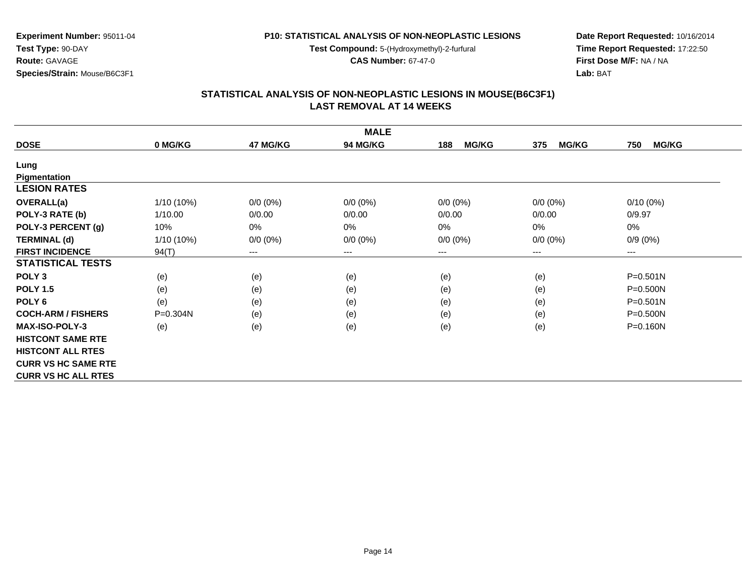**Test Compound:** 5-(Hydroxymethyl)-2-furfural

**CAS Number:** 67-47-0

**Date Report Requested:** 10/16/2014**Time Report Requested:** 17:22:50**First Dose M/F:** NA / NA**Lab:** BAT

#### **STATISTICAL ANALYSIS OF NON-NEOPLASTIC LESIONS IN MOUSE(B6C3F1) LAST REMOVAL AT 14 WEEKS**

|                            |              |                            | <b>MALE</b> |                     |                     |                     |
|----------------------------|--------------|----------------------------|-------------|---------------------|---------------------|---------------------|
| <b>DOSE</b>                | 0 MG/KG      | 47 MG/KG                   | 94 MG/KG    | <b>MG/KG</b><br>188 | <b>MG/KG</b><br>375 | <b>MG/KG</b><br>750 |
| Lung                       |              |                            |             |                     |                     |                     |
| Pigmentation               |              |                            |             |                     |                     |                     |
| <b>LESION RATES</b>        |              |                            |             |                     |                     |                     |
| <b>OVERALL(a)</b>          | $1/10(10\%)$ | $0/0 (0\%)$                | $0/0 (0\%)$ | $0/0 (0\%)$         | $0/0 (0\%)$         | $0/10(0\%)$         |
| POLY-3 RATE (b)            | 1/10.00      | 0/0.00                     | 0/0.00      | 0/0.00              | 0/0.00              | 0/9.97              |
| POLY-3 PERCENT (g)         | 10%          | 0%                         | 0%          | 0%                  | $0\%$               | 0%                  |
| <b>TERMINAL (d)</b>        | 1/10 (10%)   | $0/0 (0\%)$                | $0/0 (0\%)$ | $0/0 (0\%)$         | $0/0 (0\%)$         | $0/9(0\%)$          |
| <b>FIRST INCIDENCE</b>     | 94(T)        | $\qquad \qquad - \qquad -$ | ---         | ---                 | $---$               | ---                 |
| <b>STATISTICAL TESTS</b>   |              |                            |             |                     |                     |                     |
| POLY <sub>3</sub>          | (e)          | (e)                        | (e)         | (e)                 | (e)                 | $P = 0.501N$        |
| <b>POLY 1.5</b>            | (e)          | (e)                        | (e)         | (e)                 | (e)                 | P=0.500N            |
| POLY <sub>6</sub>          | (e)          | (e)                        | (e)         | (e)                 | (e)                 | $P = 0.501N$        |
| <b>COCH-ARM / FISHERS</b>  | P=0.304N     | (e)                        | (e)         | (e)                 | (e)                 | $P = 0.500N$        |
| <b>MAX-ISO-POLY-3</b>      | (e)          | (e)                        | (e)         | (e)                 | (e)                 | $P = 0.160N$        |
| <b>HISTCONT SAME RTE</b>   |              |                            |             |                     |                     |                     |
| <b>HISTCONT ALL RTES</b>   |              |                            |             |                     |                     |                     |
| <b>CURR VS HC SAME RTE</b> |              |                            |             |                     |                     |                     |
| <b>CURR VS HC ALL RTES</b> |              |                            |             |                     |                     |                     |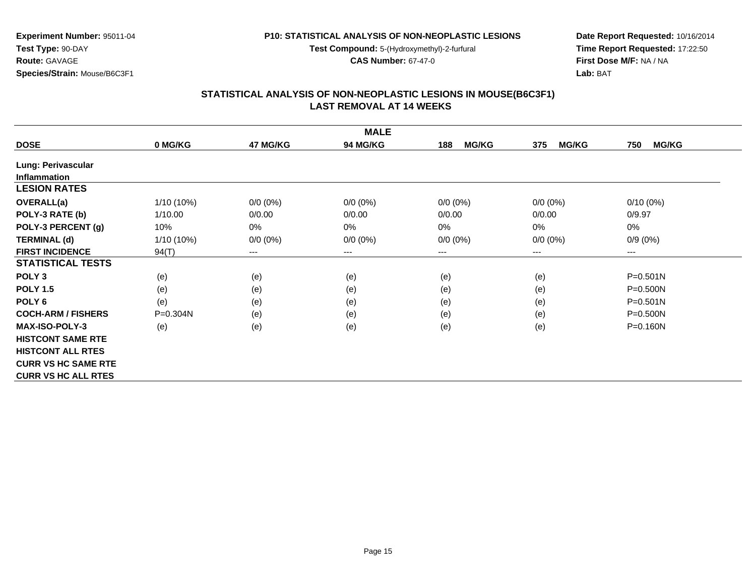**Test Compound:** 5-(Hydroxymethyl)-2-furfural

**CAS Number:** 67-47-0

**Date Report Requested:** 10/16/2014**Time Report Requested:** 17:22:50**First Dose M/F:** NA / NA**Lab:** BAT

## **STATISTICAL ANALYSIS OF NON-NEOPLASTIC LESIONS IN MOUSE(B6C3F1) LAST REMOVAL AT 14 WEEKS**

|                            |              |                        | <b>MALE</b>     |                     |                     |                     |
|----------------------------|--------------|------------------------|-----------------|---------------------|---------------------|---------------------|
| <b>DOSE</b>                | 0 MG/KG      | 47 MG/KG               | <b>94 MG/KG</b> | <b>MG/KG</b><br>188 | <b>MG/KG</b><br>375 | <b>MG/KG</b><br>750 |
| Lung: Perivascular         |              |                        |                 |                     |                     |                     |
| <b>Inflammation</b>        |              |                        |                 |                     |                     |                     |
| <b>LESION RATES</b>        |              |                        |                 |                     |                     |                     |
| <b>OVERALL(a)</b>          | 1/10 (10%)   | $0/0 (0\%)$            | $0/0 (0\%)$     | $0/0 (0\%)$         | $0/0 (0\%)$         | $0/10(0\%)$         |
| POLY-3 RATE (b)            | 1/10.00      | 0/0.00                 | 0/0.00          | 0/0.00              | 0/0.00              | 0/9.97              |
| POLY-3 PERCENT (g)         | 10%          | 0%                     | 0%              | 0%                  | 0%                  | 0%                  |
| <b>TERMINAL (d)</b>        | 1/10 (10%)   | $0/0 (0\%)$            | $0/0 (0\%)$     | $0/0 (0\%)$         | $0/0 (0\%)$         | $0/9(0\%)$          |
| <b>FIRST INCIDENCE</b>     | 94(T)        | $\qquad \qquad \cdots$ | $--$            | ---                 | ---                 | ---                 |
| <b>STATISTICAL TESTS</b>   |              |                        |                 |                     |                     |                     |
| POLY <sub>3</sub>          | (e)          | (e)                    | (e)             | (e)                 | (e)                 | $P = 0.501N$        |
| <b>POLY 1.5</b>            | (e)          | (e)                    | (e)             | (e)                 | (e)                 | $P = 0.500N$        |
| POLY <sub>6</sub>          | (e)          | (e)                    | (e)             | (e)                 | (e)                 | $P = 0.501N$        |
| <b>COCH-ARM / FISHERS</b>  | $P = 0.304N$ | (e)                    | (e)             | (e)                 | (e)                 | P=0.500N            |
| <b>MAX-ISO-POLY-3</b>      | (e)          | (e)                    | (e)             | (e)                 | (e)                 | P=0.160N            |
| <b>HISTCONT SAME RTE</b>   |              |                        |                 |                     |                     |                     |
| <b>HISTCONT ALL RTES</b>   |              |                        |                 |                     |                     |                     |
| <b>CURR VS HC SAME RTE</b> |              |                        |                 |                     |                     |                     |
| <b>CURR VS HC ALL RTES</b> |              |                        |                 |                     |                     |                     |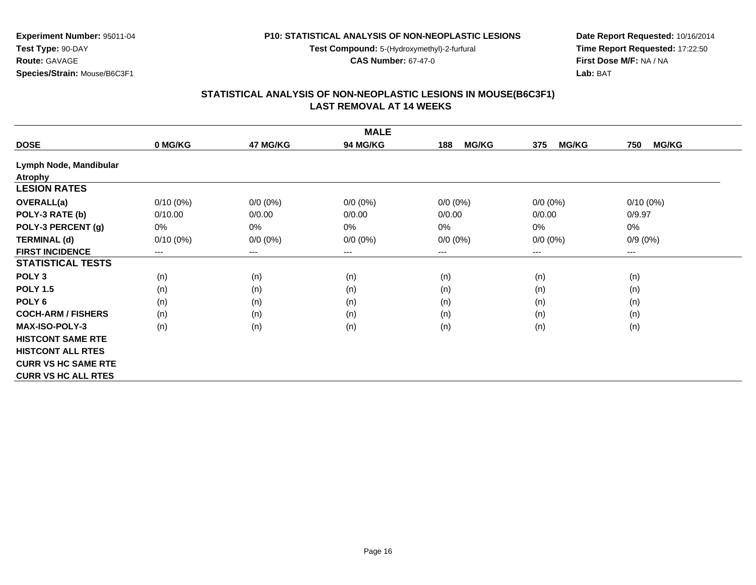**Test Compound:** 5-(Hydroxymethyl)-2-furfural

**CAS Number:** 67-47-0

**Date Report Requested:** 10/16/2014**Time Report Requested:** 17:22:50**First Dose M/F:** NA / NA**Lab:** BAT

#### **STATISTICAL ANALYSIS OF NON-NEOPLASTIC LESIONS IN MOUSE(B6C3F1) LAST REMOVAL AT 14 WEEKS**

|                            |             |             | <b>MALE</b>                |                     |                     |                     |
|----------------------------|-------------|-------------|----------------------------|---------------------|---------------------|---------------------|
| <b>DOSE</b>                | 0 MG/KG     | 47 MG/KG    | 94 MG/KG                   | <b>MG/KG</b><br>188 | <b>MG/KG</b><br>375 | <b>MG/KG</b><br>750 |
| Lymph Node, Mandibular     |             |             |                            |                     |                     |                     |
| <b>Atrophy</b>             |             |             |                            |                     |                     |                     |
| <b>LESION RATES</b>        |             |             |                            |                     |                     |                     |
| <b>OVERALL(a)</b>          | $0/10(0\%)$ | $0/0 (0\%)$ | $0/0 (0\%)$                | $0/0 (0\%)$         | $0/0 (0\%)$         | $0/10(0\%)$         |
| POLY-3 RATE (b)            | 0/10.00     | 0/0.00      | 0/0.00                     | 0/0.00              | 0/0.00              | 0/9.97              |
| POLY-3 PERCENT (g)         | $0\%$       | 0%          | 0%                         | $0\%$               | $0\%$               | 0%                  |
| <b>TERMINAL (d)</b>        | $0/10(0\%)$ | $0/0 (0\%)$ | $0/0 (0\%)$                | $0/0 (0\%)$         | $0/0 (0\%)$         | $0/9(0\%)$          |
| <b>FIRST INCIDENCE</b>     | $---$       | $---$       | $\qquad \qquad - \qquad -$ | ---                 | ---                 | ---                 |
| <b>STATISTICAL TESTS</b>   |             |             |                            |                     |                     |                     |
| POLY <sub>3</sub>          | (n)         | (n)         | (n)                        | (n)                 | (n)                 | (n)                 |
| <b>POLY 1.5</b>            | (n)         | (n)         | (n)                        | (n)                 | (n)                 | (n)                 |
| POLY <sub>6</sub>          | (n)         | (n)         | (n)                        | (n)                 | (n)                 | (n)                 |
| <b>COCH-ARM / FISHERS</b>  | (n)         | (n)         | (n)                        | (n)                 | (n)                 | (n)                 |
| <b>MAX-ISO-POLY-3</b>      | (n)         | (n)         | (n)                        | (n)                 | (n)                 | (n)                 |
| <b>HISTCONT SAME RTE</b>   |             |             |                            |                     |                     |                     |
| <b>HISTCONT ALL RTES</b>   |             |             |                            |                     |                     |                     |
| <b>CURR VS HC SAME RTE</b> |             |             |                            |                     |                     |                     |
| <b>CURR VS HC ALL RTES</b> |             |             |                            |                     |                     |                     |

**Experiment Number:** 95011-04**Test Type:** 90-DAY

**Route:** GAVAGE**Species/Strain:** Mouse/B6C3F1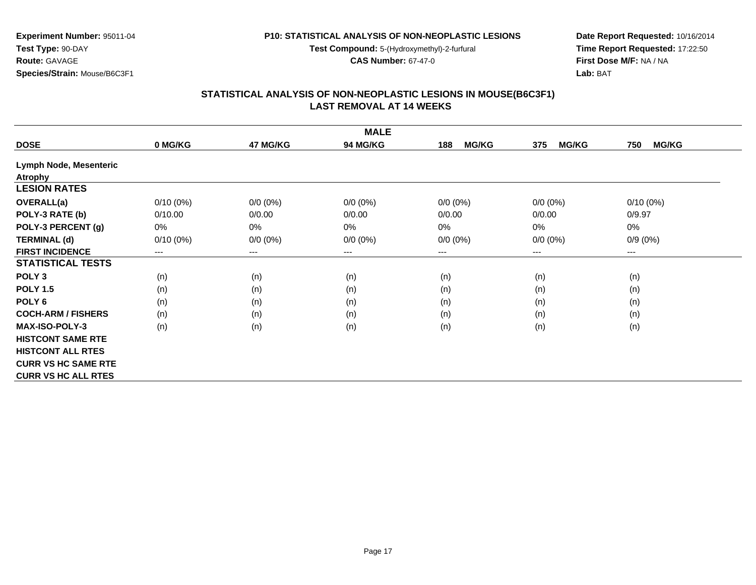**Test Compound:** 5-(Hydroxymethyl)-2-furfural

**CAS Number:** 67-47-0

**Date Report Requested:** 10/16/2014**Time Report Requested:** 17:22:50**First Dose M/F:** NA / NA**Lab:** BAT

# **STATISTICAL ANALYSIS OF NON-NEOPLASTIC LESIONS IN MOUSE(B6C3F1) LAST REMOVAL AT 14 WEEKS**

|                            |             |             | <b>MALE</b> |                     |                     |                     |
|----------------------------|-------------|-------------|-------------|---------------------|---------------------|---------------------|
| <b>DOSE</b>                | 0 MG/KG     | 47 MG/KG    | 94 MG/KG    | <b>MG/KG</b><br>188 | <b>MG/KG</b><br>375 | 750<br><b>MG/KG</b> |
| Lymph Node, Mesenteric     |             |             |             |                     |                     |                     |
| <b>Atrophy</b>             |             |             |             |                     |                     |                     |
| <b>LESION RATES</b>        |             |             |             |                     |                     |                     |
| <b>OVERALL(a)</b>          | $0/10(0\%)$ | $0/0 (0\%)$ | $0/0 (0\%)$ | $0/0 (0\%)$         | $0/0 (0\%)$         | $0/10(0\%)$         |
| POLY-3 RATE (b)            | 0/10.00     | 0/0.00      | 0/0.00      | 0/0.00              | 0/0.00              | 0/9.97              |
| POLY-3 PERCENT (g)         | 0%          | 0%          | $0\%$       | 0%                  | $0\%$               | 0%                  |
| <b>TERMINAL (d)</b>        | $0/10(0\%)$ | $0/0 (0\%)$ | $0/0 (0\%)$ | $0/0 (0\%)$         | $0/0 (0\%)$         | $0/9(0\%)$          |
| <b>FIRST INCIDENCE</b>     | ---         | $---$       | $---$       | ---                 | $---$               | ---                 |
| <b>STATISTICAL TESTS</b>   |             |             |             |                     |                     |                     |
| POLY <sub>3</sub>          | (n)         | (n)         | (n)         | (n)                 | (n)                 | (n)                 |
| <b>POLY 1.5</b>            | (n)         | (n)         | (n)         | (n)                 | (n)                 | (n)                 |
| POLY <sub>6</sub>          | (n)         | (n)         | (n)         | (n)                 | (n)                 | (n)                 |
| <b>COCH-ARM / FISHERS</b>  | (n)         | (n)         | (n)         | (n)                 | (n)                 | (n)                 |
| <b>MAX-ISO-POLY-3</b>      | (n)         | (n)         | (n)         | (n)                 | (n)                 | (n)                 |
| <b>HISTCONT SAME RTE</b>   |             |             |             |                     |                     |                     |
| <b>HISTCONT ALL RTES</b>   |             |             |             |                     |                     |                     |
| <b>CURR VS HC SAME RTE</b> |             |             |             |                     |                     |                     |
| <b>CURR VS HC ALL RTES</b> |             |             |             |                     |                     |                     |

**Experiment Number:** 95011-04

**Test Type:** 90-DAY**Route:** GAVAGE

**Species/Strain:** Mouse/B6C3F1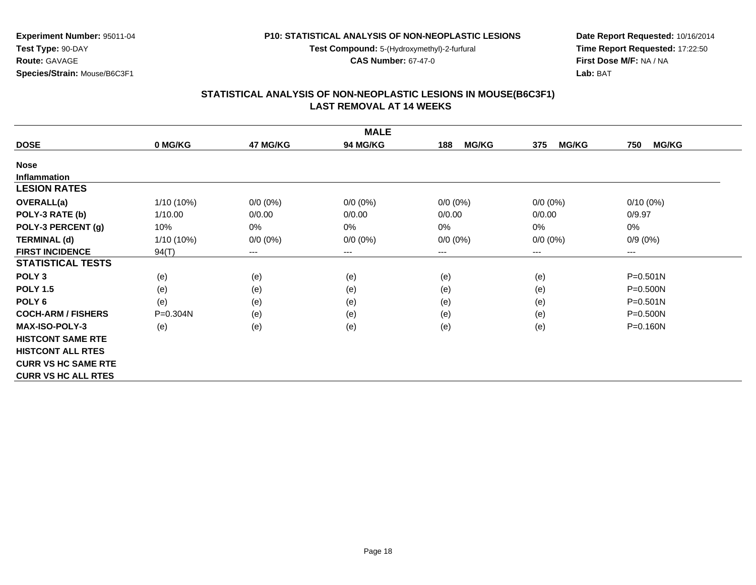**Test Compound:** 5-(Hydroxymethyl)-2-furfural

**CAS Number:** 67-47-0

**Date Report Requested:** 10/16/2014**Time Report Requested:** 17:22:50**First Dose M/F:** NA / NA**Lab:** BAT

#### **STATISTICAL ANALYSIS OF NON-NEOPLASTIC LESIONS IN MOUSE(B6C3F1) LAST REMOVAL AT 14 WEEKS**

|                            |              |                            | <b>MALE</b> |                     |                     |                     |
|----------------------------|--------------|----------------------------|-------------|---------------------|---------------------|---------------------|
| <b>DOSE</b>                | 0 MG/KG      | 47 MG/KG                   | 94 MG/KG    | <b>MG/KG</b><br>188 | <b>MG/KG</b><br>375 | <b>MG/KG</b><br>750 |
| <b>Nose</b>                |              |                            |             |                     |                     |                     |
| Inflammation               |              |                            |             |                     |                     |                     |
| <b>LESION RATES</b>        |              |                            |             |                     |                     |                     |
| <b>OVERALL(a)</b>          | $1/10(10\%)$ | $0/0 (0\%)$                | $0/0 (0\%)$ | $0/0 (0\%)$         | $0/0 (0\%)$         | $0/10(0\%)$         |
| POLY-3 RATE (b)            | 1/10.00      | 0/0.00                     | 0/0.00      | 0/0.00              | 0/0.00              | 0/9.97              |
| POLY-3 PERCENT (g)         | 10%          | 0%                         | 0%          | 0%                  | $0\%$               | 0%                  |
| <b>TERMINAL (d)</b>        | 1/10 (10%)   | $0/0 (0\%)$                | $0/0 (0\%)$ | $0/0 (0\%)$         | $0/0 (0\%)$         | $0/9(0\%)$          |
| <b>FIRST INCIDENCE</b>     | 94(T)        | $\qquad \qquad - \qquad -$ | ---         | ---                 | $---$               | ---                 |
| <b>STATISTICAL TESTS</b>   |              |                            |             |                     |                     |                     |
| POLY <sub>3</sub>          | (e)          | (e)                        | (e)         | (e)                 | (e)                 | $P = 0.501N$        |
| <b>POLY 1.5</b>            | (e)          | (e)                        | (e)         | (e)                 | (e)                 | P=0.500N            |
| POLY <sub>6</sub>          | (e)          | (e)                        | (e)         | (e)                 | (e)                 | $P = 0.501N$        |
| <b>COCH-ARM / FISHERS</b>  | P=0.304N     | (e)                        | (e)         | (e)                 | (e)                 | $P = 0.500N$        |
| <b>MAX-ISO-POLY-3</b>      | (e)          | (e)                        | (e)         | (e)                 | (e)                 | $P = 0.160N$        |
| <b>HISTCONT SAME RTE</b>   |              |                            |             |                     |                     |                     |
| <b>HISTCONT ALL RTES</b>   |              |                            |             |                     |                     |                     |
| <b>CURR VS HC SAME RTE</b> |              |                            |             |                     |                     |                     |
| <b>CURR VS HC ALL RTES</b> |              |                            |             |                     |                     |                     |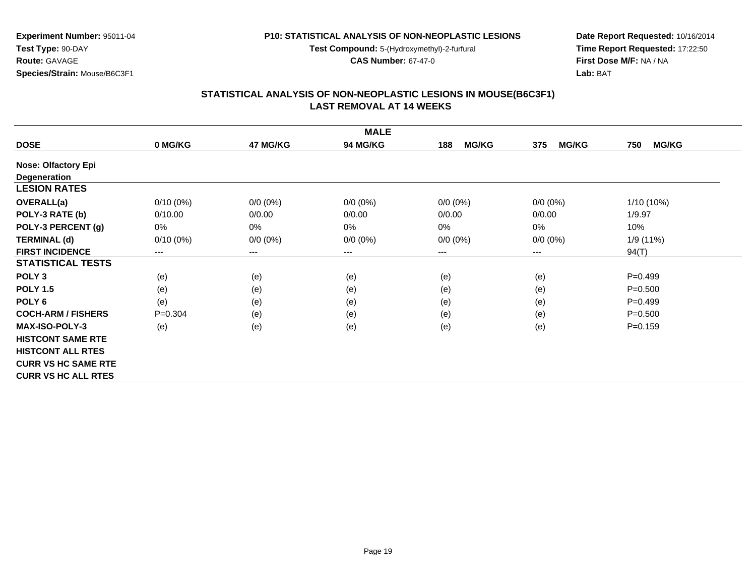**Test Compound:** 5-(Hydroxymethyl)-2-furfural

**CAS Number:** 67-47-0

**Date Report Requested:** 10/16/2014**Time Report Requested:** 17:22:50**First Dose M/F:** NA / NA**Lab:** BAT

## **STATISTICAL ANALYSIS OF NON-NEOPLASTIC LESIONS IN MOUSE(B6C3F1) LAST REMOVAL AT 14 WEEKS**

|                            |             |                        | <b>MALE</b> |                     |                     |                     |
|----------------------------|-------------|------------------------|-------------|---------------------|---------------------|---------------------|
| <b>DOSE</b>                | 0 MG/KG     | 47 MG/KG               | 94 MG/KG    | <b>MG/KG</b><br>188 | <b>MG/KG</b><br>375 | <b>MG/KG</b><br>750 |
| <b>Nose: Olfactory Epi</b> |             |                        |             |                     |                     |                     |
| Degeneration               |             |                        |             |                     |                     |                     |
| <b>LESION RATES</b>        |             |                        |             |                     |                     |                     |
| <b>OVERALL(a)</b>          | $0/10(0\%)$ | $0/0 (0\%)$            | $0/0 (0\%)$ | $0/0 (0\%)$         | $0/0 (0\%)$         | 1/10 (10%)          |
| POLY-3 RATE (b)            | 0/10.00     | 0/0.00                 | 0/0.00      | 0/0.00              | 0/0.00              | 1/9.97              |
| POLY-3 PERCENT (g)         | 0%          | 0%                     | 0%          | 0%                  | 0%                  | 10%                 |
| <b>TERMINAL (d)</b>        | $0/10(0\%)$ | $0/0 (0\%)$            | $0/0 (0\%)$ | $0/0 (0\%)$         | $0/0 (0\%)$         | 1/9 (11%)           |
| <b>FIRST INCIDENCE</b>     | ---         | $\qquad \qquad \cdots$ | $---$       | ---                 | ---                 | 94(T)               |
| <b>STATISTICAL TESTS</b>   |             |                        |             |                     |                     |                     |
| POLY <sub>3</sub>          | (e)         | (e)                    | (e)         | (e)                 | (e)                 | $P = 0.499$         |
| <b>POLY 1.5</b>            | (e)         | (e)                    | (e)         | (e)                 | (e)                 | $P = 0.500$         |
| POLY <sub>6</sub>          | (e)         | (e)                    | (e)         | (e)                 | (e)                 | $P = 0.499$         |
| <b>COCH-ARM / FISHERS</b>  | $P = 0.304$ | (e)                    | (e)         | (e)                 | (e)                 | $P = 0.500$         |
| <b>MAX-ISO-POLY-3</b>      | (e)         | (e)                    | (e)         | (e)                 | (e)                 | $P = 0.159$         |
| <b>HISTCONT SAME RTE</b>   |             |                        |             |                     |                     |                     |
| <b>HISTCONT ALL RTES</b>   |             |                        |             |                     |                     |                     |
| <b>CURR VS HC SAME RTE</b> |             |                        |             |                     |                     |                     |
| <b>CURR VS HC ALL RTES</b> |             |                        |             |                     |                     |                     |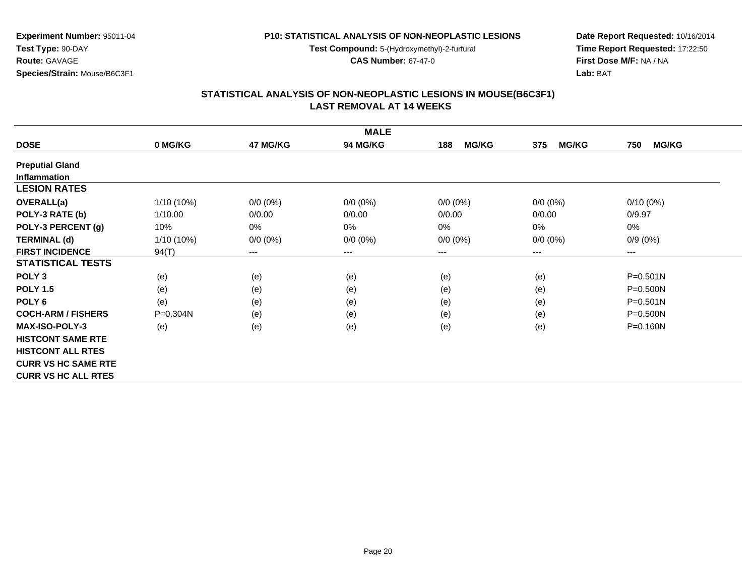**Test Compound:** 5-(Hydroxymethyl)-2-furfural

**CAS Number:** 67-47-0

**Date Report Requested:** 10/16/2014**Time Report Requested:** 17:22:50**First Dose M/F:** NA / NA**Lab:** BAT

### **STATISTICAL ANALYSIS OF NON-NEOPLASTIC LESIONS IN MOUSE(B6C3F1) LAST REMOVAL AT 14 WEEKS**

|                            |              |                            | <b>MALE</b>     |                     |                     |                     |
|----------------------------|--------------|----------------------------|-----------------|---------------------|---------------------|---------------------|
| <b>DOSE</b>                | 0 MG/KG      | 47 MG/KG                   | <b>94 MG/KG</b> | <b>MG/KG</b><br>188 | <b>MG/KG</b><br>375 | 750<br><b>MG/KG</b> |
| <b>Preputial Gland</b>     |              |                            |                 |                     |                     |                     |
| <b>Inflammation</b>        |              |                            |                 |                     |                     |                     |
| <b>LESION RATES</b>        |              |                            |                 |                     |                     |                     |
| <b>OVERALL(a)</b>          | $1/10(10\%)$ | $0/0 (0\%)$                | $0/0 (0\%)$     | $0/0 (0\%)$         | $0/0$ $(0%)$        | $0/10(0\%)$         |
| POLY-3 RATE (b)            | 1/10.00      | 0/0.00                     | 0/0.00          | 0/0.00              | 0/0.00              | 0/9.97              |
| POLY-3 PERCENT (g)         | 10%          | 0%                         | 0%              | 0%                  | 0%                  | $0\%$               |
| <b>TERMINAL (d)</b>        | 1/10 (10%)   | $0/0 (0\%)$                | $0/0 (0\%)$     | $0/0 (0\%)$         | $0/0 (0\%)$         | $0/9(0\%)$          |
| <b>FIRST INCIDENCE</b>     | 94(T)        | $\qquad \qquad - \qquad -$ | $---$           | $--$                | ---                 | ---                 |
| <b>STATISTICAL TESTS</b>   |              |                            |                 |                     |                     |                     |
| POLY <sub>3</sub>          | (e)          | (e)                        | (e)             | (e)                 | (e)                 | $P = 0.501N$        |
| <b>POLY 1.5</b>            | (e)          | (e)                        | (e)             | (e)                 | (e)                 | P=0.500N            |
| POLY <sub>6</sub>          | (e)          | (e)                        | (e)             | (e)                 | (e)                 | $P = 0.501N$        |
| <b>COCH-ARM / FISHERS</b>  | P=0.304N     | (e)                        | (e)             | (e)                 | (e)                 | P=0.500N            |
| <b>MAX-ISO-POLY-3</b>      | (e)          | (e)                        | (e)             | (e)                 | (e)                 | P=0.160N            |
| <b>HISTCONT SAME RTE</b>   |              |                            |                 |                     |                     |                     |
| <b>HISTCONT ALL RTES</b>   |              |                            |                 |                     |                     |                     |
| <b>CURR VS HC SAME RTE</b> |              |                            |                 |                     |                     |                     |
| <b>CURR VS HC ALL RTES</b> |              |                            |                 |                     |                     |                     |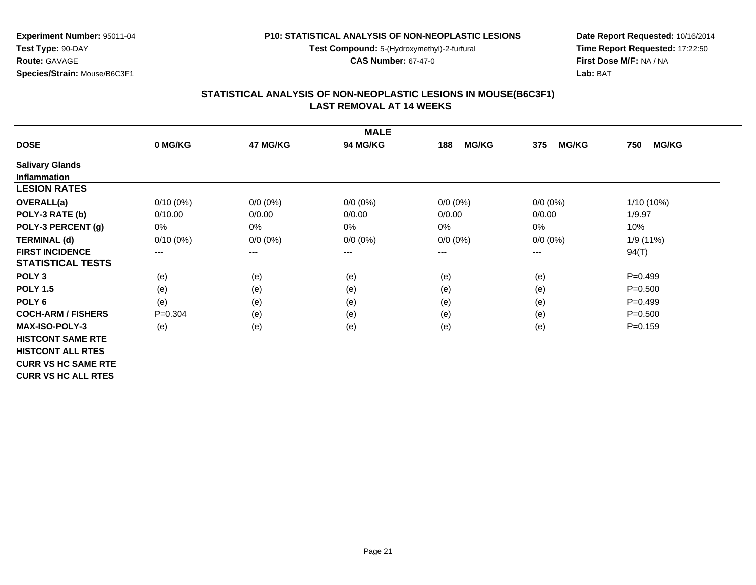**Test Compound:** 5-(Hydroxymethyl)-2-furfural

**CAS Number:** 67-47-0

**Date Report Requested:** 10/16/2014**Time Report Requested:** 17:22:50**First Dose M/F:** NA / NA**Lab:** BAT

### **STATISTICAL ANALYSIS OF NON-NEOPLASTIC LESIONS IN MOUSE(B6C3F1) LAST REMOVAL AT 14 WEEKS**

|                            |             |             | <b>MALE</b>            |                     |                     |                     |
|----------------------------|-------------|-------------|------------------------|---------------------|---------------------|---------------------|
| <b>DOSE</b>                | 0 MG/KG     | 47 MG/KG    | 94 MG/KG               | <b>MG/KG</b><br>188 | <b>MG/KG</b><br>375 | <b>MG/KG</b><br>750 |
| <b>Salivary Glands</b>     |             |             |                        |                     |                     |                     |
| <b>Inflammation</b>        |             |             |                        |                     |                     |                     |
| <b>LESION RATES</b>        |             |             |                        |                     |                     |                     |
| <b>OVERALL(a)</b>          | $0/10(0\%)$ | $0/0 (0\%)$ | $0/0 (0\%)$            | $0/0 (0\%)$         | $0/0$ $(0%)$        | $1/10(10\%)$        |
| POLY-3 RATE (b)            | 0/10.00     | 0/0.00      | 0/0.00                 | 0/0.00              | 0/0.00              | 1/9.97              |
| POLY-3 PERCENT (g)         | $0\%$       | 0%          | 0%                     | 0%                  | 0%                  | 10%                 |
| <b>TERMINAL (d)</b>        | $0/10(0\%)$ | $0/0 (0\%)$ | $0/0 (0\%)$            | $0/0 (0\%)$         | $0/0 (0\%)$         | 1/9 (11%)           |
| <b>FIRST INCIDENCE</b>     | $---$       | $---$       | $\qquad \qquad \cdots$ | $--$                | ---                 | 94(T)               |
| <b>STATISTICAL TESTS</b>   |             |             |                        |                     |                     |                     |
| POLY <sub>3</sub>          | (e)         | (e)         | (e)                    | (e)                 | (e)                 | $P=0.499$           |
| <b>POLY 1.5</b>            | (e)         | (e)         | (e)                    | (e)                 | (e)                 | $P = 0.500$         |
| POLY <sub>6</sub>          | (e)         | (e)         | (e)                    | (e)                 | (e)                 | $P=0.499$           |
| <b>COCH-ARM / FISHERS</b>  | $P = 0.304$ | (e)         | (e)                    | (e)                 | (e)                 | $P = 0.500$         |
| <b>MAX-ISO-POLY-3</b>      | (e)         | (e)         | (e)                    | (e)                 | (e)                 | $P=0.159$           |
| <b>HISTCONT SAME RTE</b>   |             |             |                        |                     |                     |                     |
| <b>HISTCONT ALL RTES</b>   |             |             |                        |                     |                     |                     |
| <b>CURR VS HC SAME RTE</b> |             |             |                        |                     |                     |                     |
| <b>CURR VS HC ALL RTES</b> |             |             |                        |                     |                     |                     |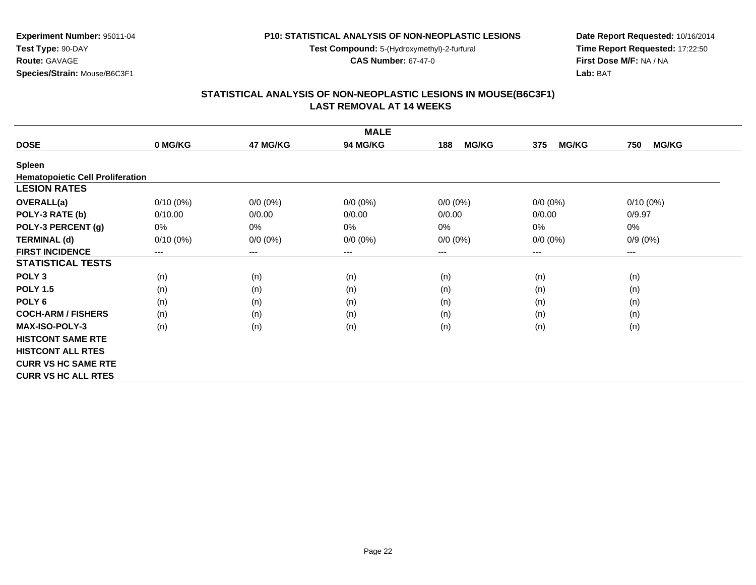**Test Compound:** 5-(Hydroxymethyl)-2-furfural

**CAS Number:** 67-47-0

**Date Report Requested:** 10/16/2014**Time Report Requested:** 17:22:50**First Dose M/F:** NA / NA**Lab:** BAT

# **STATISTICAL ANALYSIS OF NON-NEOPLASTIC LESIONS IN MOUSE(B6C3F1) LAST REMOVAL AT 14 WEEKS**

| <b>MALE</b>                             |             |             |                 |                     |                     |                     |  |  |
|-----------------------------------------|-------------|-------------|-----------------|---------------------|---------------------|---------------------|--|--|
| <b>DOSE</b>                             | 0 MG/KG     | 47 MG/KG    | <b>94 MG/KG</b> | <b>MG/KG</b><br>188 | <b>MG/KG</b><br>375 | <b>MG/KG</b><br>750 |  |  |
| Spleen                                  |             |             |                 |                     |                     |                     |  |  |
| <b>Hematopoietic Cell Proliferation</b> |             |             |                 |                     |                     |                     |  |  |
| <b>LESION RATES</b>                     |             |             |                 |                     |                     |                     |  |  |
| <b>OVERALL(a)</b>                       | $0/10(0\%)$ | $0/0 (0\%)$ | $0/0 (0\%)$     | $0/0 (0\%)$         | $0/0 (0\%)$         | $0/10(0\%)$         |  |  |
| POLY-3 RATE (b)                         | 0/10.00     | 0/0.00      | 0/0.00          | 0/0.00              | 0/0.00              | 0/9.97              |  |  |
| POLY-3 PERCENT (g)                      | 0%          | 0%          | 0%              | $0\%$               | 0%                  | 0%                  |  |  |
| <b>TERMINAL (d)</b>                     | $0/10(0\%)$ | $0/0 (0\%)$ | $0/0 (0\%)$     | $0/0 (0\%)$         | $0/0 (0\%)$         | $0/9(0\%)$          |  |  |
| <b>FIRST INCIDENCE</b>                  | $---$       | $---$       | ---             | $---$               | ---                 | $---$               |  |  |
| <b>STATISTICAL TESTS</b>                |             |             |                 |                     |                     |                     |  |  |
| POLY <sub>3</sub>                       | (n)         | (n)         | (n)             | (n)                 | (n)                 | (n)                 |  |  |
| <b>POLY 1.5</b>                         | (n)         | (n)         | (n)             | (n)                 | (n)                 | (n)                 |  |  |
| POLY <sub>6</sub>                       | (n)         | (n)         | (n)             | (n)                 | (n)                 | (n)                 |  |  |
| <b>COCH-ARM / FISHERS</b>               | (n)         | (n)         | (n)             | (n)                 | (n)                 | (n)                 |  |  |
| <b>MAX-ISO-POLY-3</b>                   | (n)         | (n)         | (n)             | (n)                 | (n)                 | (n)                 |  |  |
| <b>HISTCONT SAME RTE</b>                |             |             |                 |                     |                     |                     |  |  |
| <b>HISTCONT ALL RTES</b>                |             |             |                 |                     |                     |                     |  |  |
| <b>CURR VS HC SAME RTE</b>              |             |             |                 |                     |                     |                     |  |  |
| <b>CURR VS HC ALL RTES</b>              |             |             |                 |                     |                     |                     |  |  |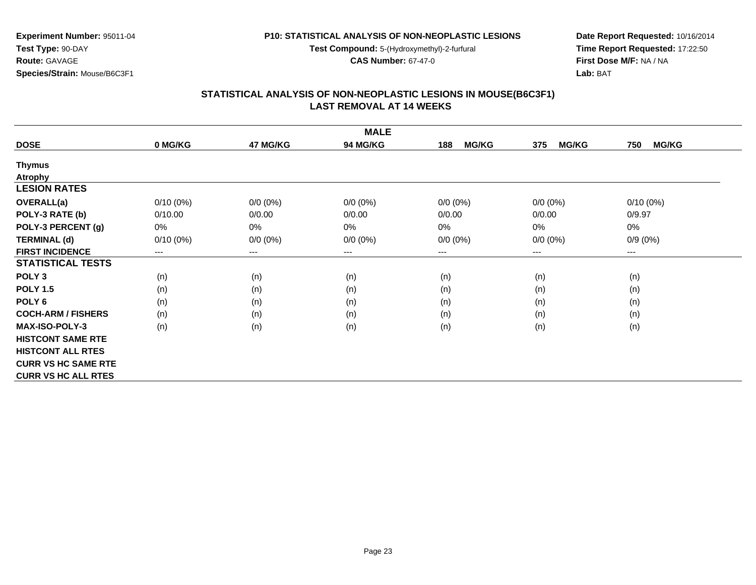**Test Compound:** 5-(Hydroxymethyl)-2-furfural

**CAS Number:** 67-47-0

**Date Report Requested:** 10/16/2014**Time Report Requested:** 17:22:50**First Dose M/F:** NA / NA**Lab:** BAT

#### **STATISTICAL ANALYSIS OF NON-NEOPLASTIC LESIONS IN MOUSE(B6C3F1) LAST REMOVAL AT 14 WEEKS**

|                            |             |             | <b>MALE</b>     |                     |                     |                     |
|----------------------------|-------------|-------------|-----------------|---------------------|---------------------|---------------------|
| <b>DOSE</b>                | 0 MG/KG     | 47 MG/KG    | <b>94 MG/KG</b> | <b>MG/KG</b><br>188 | <b>MG/KG</b><br>375 | <b>MG/KG</b><br>750 |
| <b>Thymus</b>              |             |             |                 |                     |                     |                     |
| <b>Atrophy</b>             |             |             |                 |                     |                     |                     |
| <b>LESION RATES</b>        |             |             |                 |                     |                     |                     |
| <b>OVERALL(a)</b>          | $0/10(0\%)$ | $0/0 (0\%)$ | $0/0 (0\%)$     | $0/0 (0\%)$         | $0/0 (0\%)$         | $0/10(0\%)$         |
| POLY-3 RATE (b)            | 0/10.00     | 0/0.00      | 0/0.00          | 0/0.00              | 0/0.00              | 0/9.97              |
| POLY-3 PERCENT (g)         | 0%          | 0%          | 0%              | 0%                  | 0%                  | $0\%$               |
| <b>TERMINAL (d)</b>        | $0/10(0\%)$ | $0/0 (0\%)$ | $0/0 (0\%)$     | $0/0 (0\%)$         | $0/0 (0\%)$         | $0/9(0\%)$          |
| <b>FIRST INCIDENCE</b>     | $---$       | ---         | $---$           | ---                 | $---$               | $---$               |
| <b>STATISTICAL TESTS</b>   |             |             |                 |                     |                     |                     |
| POLY <sub>3</sub>          | (n)         | (n)         | (n)             | (n)                 | (n)                 | (n)                 |
| <b>POLY 1.5</b>            | (n)         | (n)         | (n)             | (n)                 | (n)                 | (n)                 |
| POLY 6                     | (n)         | (n)         | (n)             | (n)                 | (n)                 | (n)                 |
| <b>COCH-ARM / FISHERS</b>  | (n)         | (n)         | (n)             | (n)                 | (n)                 | (n)                 |
| MAX-ISO-POLY-3             | (n)         | (n)         | (n)             | (n)                 | (n)                 | (n)                 |
| <b>HISTCONT SAME RTE</b>   |             |             |                 |                     |                     |                     |
| <b>HISTCONT ALL RTES</b>   |             |             |                 |                     |                     |                     |
| <b>CURR VS HC SAME RTE</b> |             |             |                 |                     |                     |                     |
| <b>CURR VS HC ALL RTES</b> |             |             |                 |                     |                     |                     |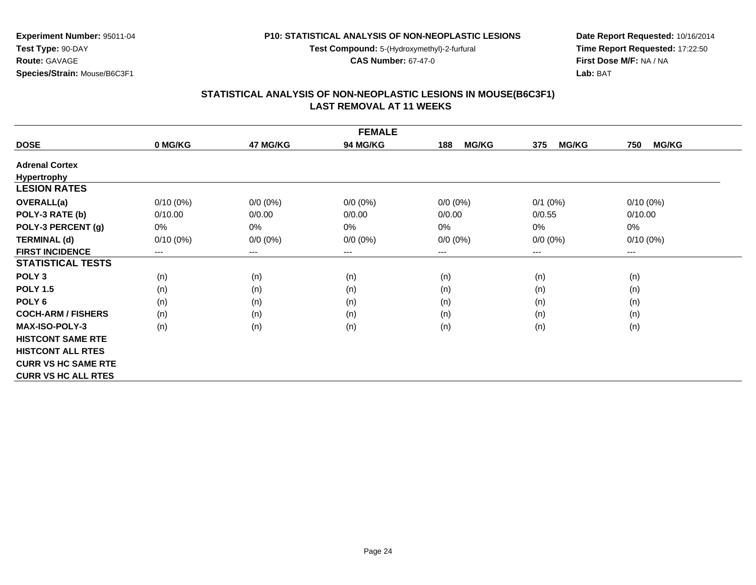**Test Compound:** 5-(Hydroxymethyl)-2-furfural

**CAS Number:** 67-47-0

**Date Report Requested:** 10/16/2014**Time Report Requested:** 17:22:50**First Dose M/F:** NA / NA**Lab:** BAT

### **STATISTICAL ANALYSIS OF NON-NEOPLASTIC LESIONS IN MOUSE(B6C3F1) LAST REMOVAL AT 11 WEEKS**

|                            |             |             | <b>FEMALE</b> |                     |                     |                            |
|----------------------------|-------------|-------------|---------------|---------------------|---------------------|----------------------------|
| <b>DOSE</b>                | 0 MG/KG     | 47 MG/KG    | 94 MG/KG      | <b>MG/KG</b><br>188 | <b>MG/KG</b><br>375 | 750<br><b>MG/KG</b>        |
| <b>Adrenal Cortex</b>      |             |             |               |                     |                     |                            |
| <b>Hypertrophy</b>         |             |             |               |                     |                     |                            |
| <b>LESION RATES</b>        |             |             |               |                     |                     |                            |
| <b>OVERALL(a)</b>          | $0/10(0\%)$ | $0/0 (0\%)$ | $0/0 (0\%)$   | $0/0 (0\%)$         | $0/1$ (0%)          | $0/10(0\%)$                |
| POLY-3 RATE (b)            | 0/10.00     | 0/0.00      | 0/0.00        | 0/0.00              | 0/0.55              | 0/10.00                    |
| POLY-3 PERCENT (g)         | 0%          | 0%          | 0%            | $0\%$               | 0%                  | $0\%$                      |
| <b>TERMINAL (d)</b>        | $0/10(0\%)$ | $0/0 (0\%)$ | $0/0 (0\%)$   | $0/0 (0\%)$         | $0/0 (0\%)$         | $0/10(0\%)$                |
| <b>FIRST INCIDENCE</b>     | $---$       | $---$       | $---$         | ---                 | $---$               | $\qquad \qquad - \qquad -$ |
| <b>STATISTICAL TESTS</b>   |             |             |               |                     |                     |                            |
| POLY <sub>3</sub>          | (n)         | (n)         | (n)           | (n)                 | (n)                 | (n)                        |
| <b>POLY 1.5</b>            | (n)         | (n)         | (n)           | (n)                 | (n)                 | (n)                        |
| POLY <sub>6</sub>          | (n)         | (n)         | (n)           | (n)                 | (n)                 | (n)                        |
| <b>COCH-ARM / FISHERS</b>  | (n)         | (n)         | (n)           | (n)                 | (n)                 | (n)                        |
| <b>MAX-ISO-POLY-3</b>      | (n)         | (n)         | (n)           | (n)                 | (n)                 | (n)                        |
| <b>HISTCONT SAME RTE</b>   |             |             |               |                     |                     |                            |
| <b>HISTCONT ALL RTES</b>   |             |             |               |                     |                     |                            |
| <b>CURR VS HC SAME RTE</b> |             |             |               |                     |                     |                            |
| <b>CURR VS HC ALL RTES</b> |             |             |               |                     |                     |                            |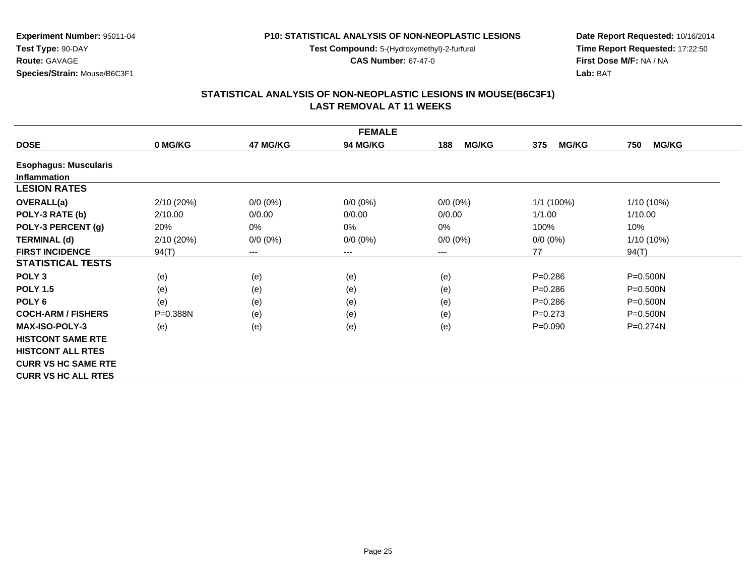**Test Compound:** 5-(Hydroxymethyl)-2-furfural

**CAS Number:** 67-47-0

**Date Report Requested:** 10/16/2014**Time Report Requested:** 17:22:50**First Dose M/F:** NA / NA**Lab:** BAT

## **STATISTICAL ANALYSIS OF NON-NEOPLASTIC LESIONS IN MOUSE(B6C3F1) LAST REMOVAL AT 11 WEEKS**

| <b>FEMALE</b>                |              |             |                 |                     |                     |                     |  |
|------------------------------|--------------|-------------|-----------------|---------------------|---------------------|---------------------|--|
| <b>DOSE</b>                  | 0 MG/KG      | 47 MG/KG    | <b>94 MG/KG</b> | <b>MG/KG</b><br>188 | <b>MG/KG</b><br>375 | 750<br><b>MG/KG</b> |  |
| <b>Esophagus: Muscularis</b> |              |             |                 |                     |                     |                     |  |
| <b>Inflammation</b>          |              |             |                 |                     |                     |                     |  |
| <b>LESION RATES</b>          |              |             |                 |                     |                     |                     |  |
| OVERALL(a)                   | 2/10(20%)    | $0/0 (0\%)$ | $0/0 (0\%)$     | $0/0 (0\%)$         | 1/1 (100%)          | $1/10(10\%)$        |  |
| POLY-3 RATE (b)              | 2/10.00      | 0/0.00      | 0/0.00          | 0/0.00              | 1/1.00              | 1/10.00             |  |
| POLY-3 PERCENT (g)           | 20%          | 0%          | 0%              | $0\%$               | 100%                | 10%                 |  |
| <b>TERMINAL (d)</b>          | 2/10(20%)    | $0/0 (0\%)$ | $0/0 (0\%)$     | $0/0 (0\%)$         | $0/0 (0\%)$         | $1/10(10\%)$        |  |
| <b>FIRST INCIDENCE</b>       | 94(T)        | $---$       | ---             | $---$               | 77                  | 94(T)               |  |
| <b>STATISTICAL TESTS</b>     |              |             |                 |                     |                     |                     |  |
| POLY <sub>3</sub>            | (e)          | (e)         | (e)             | (e)                 | $P = 0.286$         | $P = 0.500N$        |  |
| <b>POLY 1.5</b>              | (e)          | (e)         | (e)             | (e)                 | $P = 0.286$         | P=0.500N            |  |
| POLY <sub>6</sub>            | (e)          | (e)         | (e)             | (e)                 | $P = 0.286$         | P=0.500N            |  |
| <b>COCH-ARM / FISHERS</b>    | $P = 0.388N$ | (e)         | (e)             | (e)                 | $P=0.273$           | $P = 0.500N$        |  |
| <b>MAX-ISO-POLY-3</b>        | (e)          | (e)         | (e)             | (e)                 | $P = 0.090$         | $P = 0.274N$        |  |
| <b>HISTCONT SAME RTE</b>     |              |             |                 |                     |                     |                     |  |
| <b>HISTCONT ALL RTES</b>     |              |             |                 |                     |                     |                     |  |
| <b>CURR VS HC SAME RTE</b>   |              |             |                 |                     |                     |                     |  |
| <b>CURR VS HC ALL RTES</b>   |              |             |                 |                     |                     |                     |  |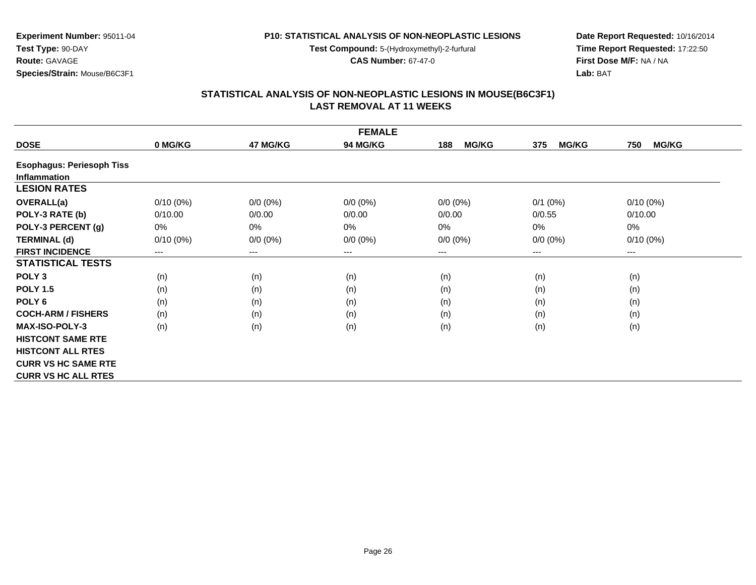**Test Compound:** 5-(Hydroxymethyl)-2-furfural

**CAS Number:** 67-47-0

**Date Report Requested:** 10/16/2014**Time Report Requested:** 17:22:50**First Dose M/F:** NA / NA**Lab:** BAT

### **STATISTICAL ANALYSIS OF NON-NEOPLASTIC LESIONS IN MOUSE(B6C3F1) LAST REMOVAL AT 11 WEEKS**

|                                  |             |                        | <b>FEMALE</b>   |                     |                     |                     |
|----------------------------------|-------------|------------------------|-----------------|---------------------|---------------------|---------------------|
| <b>DOSE</b>                      | 0 MG/KG     | 47 MG/KG               | <b>94 MG/KG</b> | <b>MG/KG</b><br>188 | <b>MG/KG</b><br>375 | <b>MG/KG</b><br>750 |
| <b>Esophagus: Periesoph Tiss</b> |             |                        |                 |                     |                     |                     |
| <b>Inflammation</b>              |             |                        |                 |                     |                     |                     |
| <b>LESION RATES</b>              |             |                        |                 |                     |                     |                     |
| <b>OVERALL(a)</b>                | $0/10(0\%)$ | $0/0 (0\%)$            | $0/0 (0\%)$     | $0/0 (0\%)$         | $0/1$ (0%)          | $0/10(0\%)$         |
| POLY-3 RATE (b)                  | 0/10.00     | 0/0.00                 | 0/0.00          | 0/0.00              | 0/0.55              | 0/10.00             |
| POLY-3 PERCENT (g)               | 0%          | 0%                     | 0%              | 0%                  | $0\%$               | 0%                  |
| <b>TERMINAL (d)</b>              | $0/10(0\%)$ | $0/0 (0\%)$            | $0/0 (0\%)$     | $0/0 (0\%)$         | $0/0 (0\%)$         | $0/10(0\%)$         |
| <b>FIRST INCIDENCE</b>           | $---$       | $\qquad \qquad \cdots$ | $---$           | ---                 | $---$               | ---                 |
| <b>STATISTICAL TESTS</b>         |             |                        |                 |                     |                     |                     |
| POLY <sub>3</sub>                | (n)         | (n)                    | (n)             | (n)                 | (n)                 | (n)                 |
| <b>POLY 1.5</b>                  | (n)         | (n)                    | (n)             | (n)                 | (n)                 | (n)                 |
| POLY <sub>6</sub>                | (n)         | (n)                    | (n)             | (n)                 | (n)                 | (n)                 |
| <b>COCH-ARM / FISHERS</b>        | (n)         | (n)                    | (n)             | (n)                 | (n)                 | (n)                 |
| <b>MAX-ISO-POLY-3</b>            | (n)         | (n)                    | (n)             | (n)                 | (n)                 | (n)                 |
| <b>HISTCONT SAME RTE</b>         |             |                        |                 |                     |                     |                     |
| <b>HISTCONT ALL RTES</b>         |             |                        |                 |                     |                     |                     |
| <b>CURR VS HC SAME RTE</b>       |             |                        |                 |                     |                     |                     |
| <b>CURR VS HC ALL RTES</b>       |             |                        |                 |                     |                     |                     |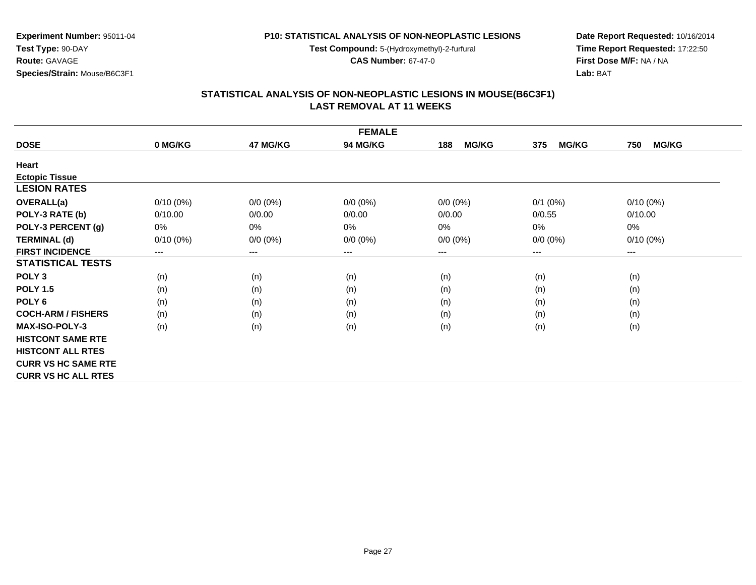**Test Compound:** 5-(Hydroxymethyl)-2-furfural

**CAS Number:** 67-47-0

**Date Report Requested:** 10/16/2014**Time Report Requested:** 17:22:50**First Dose M/F:** NA / NA**Lab:** BAT

### **STATISTICAL ANALYSIS OF NON-NEOPLASTIC LESIONS IN MOUSE(B6C3F1) LAST REMOVAL AT 11 WEEKS**

|                            |             |             | <b>FEMALE</b> |                     |                     |                     |
|----------------------------|-------------|-------------|---------------|---------------------|---------------------|---------------------|
| <b>DOSE</b>                | 0 MG/KG     | 47 MG/KG    | 94 MG/KG      | <b>MG/KG</b><br>188 | <b>MG/KG</b><br>375 | <b>MG/KG</b><br>750 |
| Heart                      |             |             |               |                     |                     |                     |
| <b>Ectopic Tissue</b>      |             |             |               |                     |                     |                     |
| <b>LESION RATES</b>        |             |             |               |                     |                     |                     |
| <b>OVERALL(a)</b>          | $0/10(0\%)$ | $0/0 (0\%)$ | $0/0 (0\%)$   | $0/0 (0\%)$         | $0/1$ (0%)          | $0/10(0\%)$         |
| POLY-3 RATE (b)            | 0/10.00     | 0/0.00      | 0/0.00        | 0/0.00              | 0/0.55              | 0/10.00             |
| POLY-3 PERCENT (g)         | 0%          | 0%          | 0%            | 0%                  | 0%                  | 0%                  |
| <b>TERMINAL (d)</b>        | $0/10(0\%)$ | $0/0 (0\%)$ | $0/0 (0\%)$   | $0/0 (0\%)$         | $0/0 (0\%)$         | $0/10(0\%)$         |
| <b>FIRST INCIDENCE</b>     | ---         | $--$        | $---$         | ---                 | $---$               | $---$               |
| <b>STATISTICAL TESTS</b>   |             |             |               |                     |                     |                     |
| POLY <sub>3</sub>          | (n)         | (n)         | (n)           | (n)                 | (n)                 | (n)                 |
| <b>POLY 1.5</b>            | (n)         | (n)         | (n)           | (n)                 | (n)                 | (n)                 |
| POLY <sub>6</sub>          | (n)         | (n)         | (n)           | (n)                 | (n)                 | (n)                 |
| <b>COCH-ARM / FISHERS</b>  | (n)         | (n)         | (n)           | (n)                 | (n)                 | (n)                 |
| <b>MAX-ISO-POLY-3</b>      | (n)         | (n)         | (n)           | (n)                 | (n)                 | (n)                 |
| <b>HISTCONT SAME RTE</b>   |             |             |               |                     |                     |                     |
| <b>HISTCONT ALL RTES</b>   |             |             |               |                     |                     |                     |
| <b>CURR VS HC SAME RTE</b> |             |             |               |                     |                     |                     |
| <b>CURR VS HC ALL RTES</b> |             |             |               |                     |                     |                     |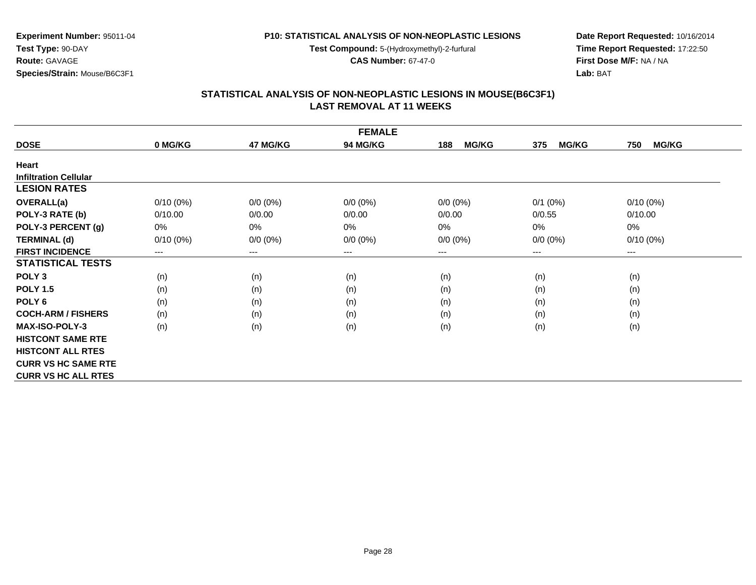**Test Compound:** 5-(Hydroxymethyl)-2-furfural

**CAS Number:** 67-47-0

**Date Report Requested:** 10/16/2014**Time Report Requested:** 17:22:50**First Dose M/F:** NA / NA**Lab:** BAT

### **STATISTICAL ANALYSIS OF NON-NEOPLASTIC LESIONS IN MOUSE(B6C3F1) LAST REMOVAL AT 11 WEEKS**

|                              |             |             | <b>FEMALE</b> |                     |                     |                     |
|------------------------------|-------------|-------------|---------------|---------------------|---------------------|---------------------|
| <b>DOSE</b>                  | 0 MG/KG     | 47 MG/KG    | 94 MG/KG      | <b>MG/KG</b><br>188 | <b>MG/KG</b><br>375 | <b>MG/KG</b><br>750 |
| Heart                        |             |             |               |                     |                     |                     |
| <b>Infiltration Cellular</b> |             |             |               |                     |                     |                     |
| <b>LESION RATES</b>          |             |             |               |                     |                     |                     |
| OVERALL(a)                   | $0/10(0\%)$ | $0/0 (0\%)$ | $0/0 (0\%)$   | $0/0 (0\%)$         | $0/1$ (0%)          | $0/10(0\%)$         |
| POLY-3 RATE (b)              | 0/10.00     | 0/0.00      | 0/0.00        | 0/0.00              | 0/0.55              | 0/10.00             |
| POLY-3 PERCENT (g)           | 0%          | 0%          | 0%            | 0%                  | 0%                  | 0%                  |
| <b>TERMINAL (d)</b>          | $0/10(0\%)$ | $0/0 (0\%)$ | $0/0 (0\%)$   | $0/0 (0\%)$         | $0/0 (0\%)$         | $0/10(0\%)$         |
| <b>FIRST INCIDENCE</b>       | ---         | $--$        | $---$         | ---                 | $---$               | $---$               |
| <b>STATISTICAL TESTS</b>     |             |             |               |                     |                     |                     |
| POLY <sub>3</sub>            | (n)         | (n)         | (n)           | (n)                 | (n)                 | (n)                 |
| <b>POLY 1.5</b>              | (n)         | (n)         | (n)           | (n)                 | (n)                 | (n)                 |
| POLY <sub>6</sub>            | (n)         | (n)         | (n)           | (n)                 | (n)                 | (n)                 |
| <b>COCH-ARM / FISHERS</b>    | (n)         | (n)         | (n)           | (n)                 | (n)                 | (n)                 |
| <b>MAX-ISO-POLY-3</b>        | (n)         | (n)         | (n)           | (n)                 | (n)                 | (n)                 |
| <b>HISTCONT SAME RTE</b>     |             |             |               |                     |                     |                     |
| <b>HISTCONT ALL RTES</b>     |             |             |               |                     |                     |                     |
| <b>CURR VS HC SAME RTE</b>   |             |             |               |                     |                     |                     |
| <b>CURR VS HC ALL RTES</b>   |             |             |               |                     |                     |                     |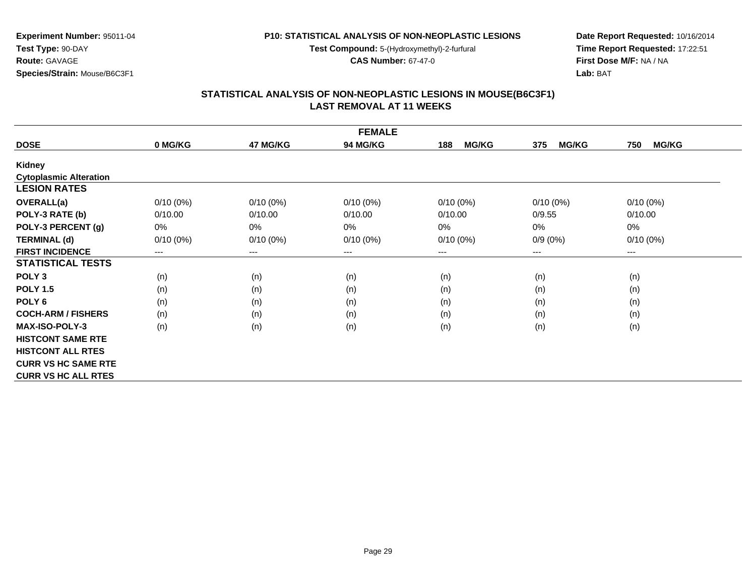**Test Compound:** 5-(Hydroxymethyl)-2-furfural

**CAS Number:** 67-47-0

**Date Report Requested:** 10/16/2014**Time Report Requested:** 17:22:51**First Dose M/F:** NA / NA**Lab:** BAT

### **STATISTICAL ANALYSIS OF NON-NEOPLASTIC LESIONS IN MOUSE(B6C3F1) LAST REMOVAL AT 11 WEEKS**

|                               |             |             | <b>FEMALE</b> |                     |                     |                     |
|-------------------------------|-------------|-------------|---------------|---------------------|---------------------|---------------------|
| <b>DOSE</b>                   | 0 MG/KG     | 47 MG/KG    | 94 MG/KG      | <b>MG/KG</b><br>188 | <b>MG/KG</b><br>375 | <b>MG/KG</b><br>750 |
| Kidney                        |             |             |               |                     |                     |                     |
| <b>Cytoplasmic Alteration</b> |             |             |               |                     |                     |                     |
| <b>LESION RATES</b>           |             |             |               |                     |                     |                     |
| <b>OVERALL(a)</b>             | $0/10(0\%)$ | $0/10(0\%)$ | $0/10(0\%)$   | $0/10(0\%)$         | $0/10(0\%)$         | $0/10(0\%)$         |
| POLY-3 RATE (b)               | 0/10.00     | 0/10.00     | 0/10.00       | 0/10.00             | 0/9.55              | 0/10.00             |
| POLY-3 PERCENT (g)            | 0%          | 0%          | 0%            | 0%                  | 0%                  | 0%                  |
| <b>TERMINAL (d)</b>           | $0/10(0\%)$ | $0/10(0\%)$ | $0/10(0\%)$   | $0/10(0\%)$         | $0/9(0\%)$          | $0/10(0\%)$         |
| <b>FIRST INCIDENCE</b>        | $---$       | $---$       | ---           | ---                 | $---$               | $---$               |
| <b>STATISTICAL TESTS</b>      |             |             |               |                     |                     |                     |
| POLY <sub>3</sub>             | (n)         | (n)         | (n)           | (n)                 | (n)                 | (n)                 |
| <b>POLY 1.5</b>               | (n)         | (n)         | (n)           | (n)                 | (n)                 | (n)                 |
| POLY <sub>6</sub>             | (n)         | (n)         | (n)           | (n)                 | (n)                 | (n)                 |
| <b>COCH-ARM / FISHERS</b>     | (n)         | (n)         | (n)           | (n)                 | (n)                 | (n)                 |
| <b>MAX-ISO-POLY-3</b>         | (n)         | (n)         | (n)           | (n)                 | (n)                 | (n)                 |
| <b>HISTCONT SAME RTE</b>      |             |             |               |                     |                     |                     |
| <b>HISTCONT ALL RTES</b>      |             |             |               |                     |                     |                     |
| <b>CURR VS HC SAME RTE</b>    |             |             |               |                     |                     |                     |
| <b>CURR VS HC ALL RTES</b>    |             |             |               |                     |                     |                     |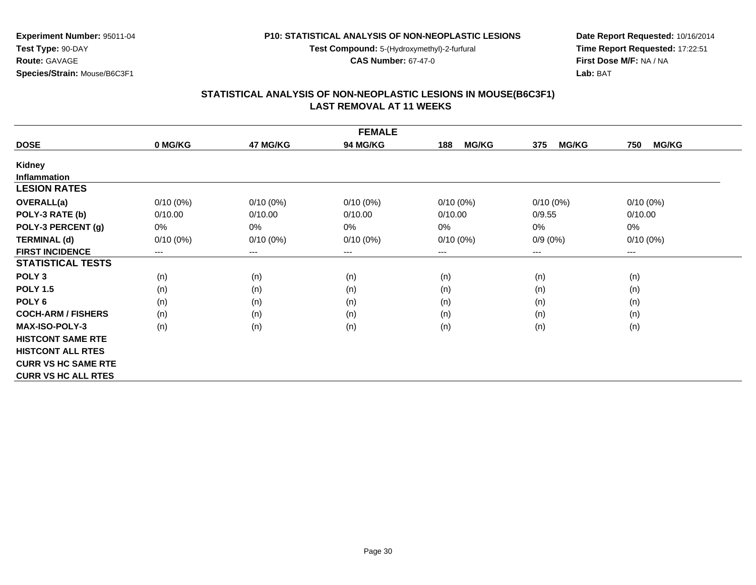**Test Compound:** 5-(Hydroxymethyl)-2-furfural

**CAS Number:** 67-47-0

**Date Report Requested:** 10/16/2014**Time Report Requested:** 17:22:51**First Dose M/F:** NA / NA**Lab:** BAT

### **STATISTICAL ANALYSIS OF NON-NEOPLASTIC LESIONS IN MOUSE(B6C3F1) LAST REMOVAL AT 11 WEEKS**

|                            |             |             | <b>FEMALE</b> |                     |                     |                     |
|----------------------------|-------------|-------------|---------------|---------------------|---------------------|---------------------|
| <b>DOSE</b>                | 0 MG/KG     | 47 MG/KG    | 94 MG/KG      | <b>MG/KG</b><br>188 | <b>MG/KG</b><br>375 | <b>MG/KG</b><br>750 |
| Kidney                     |             |             |               |                     |                     |                     |
| <b>Inflammation</b>        |             |             |               |                     |                     |                     |
| <b>LESION RATES</b>        |             |             |               |                     |                     |                     |
| <b>OVERALL(a)</b>          | $0/10(0\%)$ | $0/10(0\%)$ | $0/10(0\%)$   | $0/10(0\%)$         | $0/10(0\%)$         | $0/10(0\%)$         |
| POLY-3 RATE (b)            | 0/10.00     | 0/10.00     | 0/10.00       | 0/10.00             | 0/9.55              | 0/10.00             |
| POLY-3 PERCENT (g)         | 0%          | 0%          | 0%            | $0\%$               | 0%                  | 0%                  |
| <b>TERMINAL (d)</b>        | $0/10(0\%)$ | $0/10(0\%)$ | $0/10(0\%)$   | $0/10(0\%)$         | $0/9(0\%)$          | $0/10(0\%)$         |
| <b>FIRST INCIDENCE</b>     | $---$       | $---$       | $---$         | $---$               | ---                 | $---$               |
| <b>STATISTICAL TESTS</b>   |             |             |               |                     |                     |                     |
| POLY <sub>3</sub>          | (n)         | (n)         | (n)           | (n)                 | (n)                 | (n)                 |
| <b>POLY 1.5</b>            | (n)         | (n)         | (n)           | (n)                 | (n)                 | (n)                 |
| POLY <sub>6</sub>          | (n)         | (n)         | (n)           | (n)                 | (n)                 | (n)                 |
| <b>COCH-ARM / FISHERS</b>  | (n)         | (n)         | (n)           | (n)                 | (n)                 | (n)                 |
| <b>MAX-ISO-POLY-3</b>      | (n)         | (n)         | (n)           | (n)                 | (n)                 | (n)                 |
| <b>HISTCONT SAME RTE</b>   |             |             |               |                     |                     |                     |
| <b>HISTCONT ALL RTES</b>   |             |             |               |                     |                     |                     |
| <b>CURR VS HC SAME RTE</b> |             |             |               |                     |                     |                     |
| <b>CURR VS HC ALL RTES</b> |             |             |               |                     |                     |                     |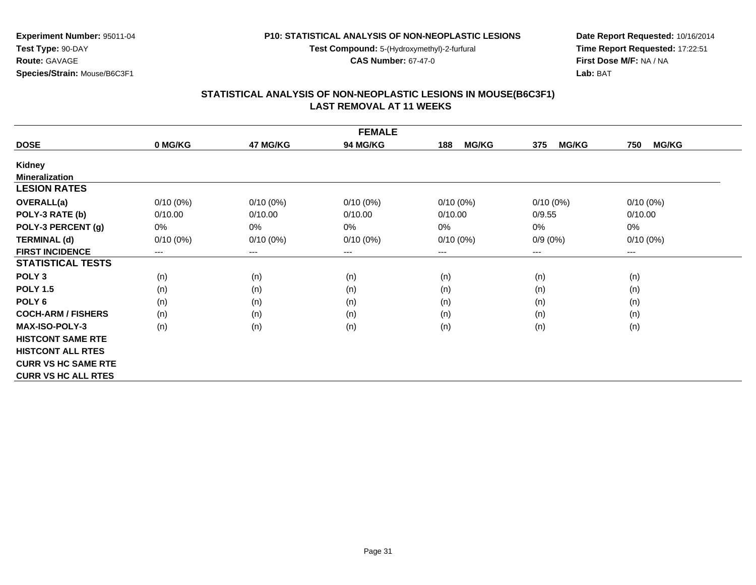**Test Compound:** 5-(Hydroxymethyl)-2-furfural

**CAS Number:** 67-47-0

**Date Report Requested:** 10/16/2014**Time Report Requested:** 17:22:51**First Dose M/F:** NA / NA**Lab:** BAT

### **STATISTICAL ANALYSIS OF NON-NEOPLASTIC LESIONS IN MOUSE(B6C3F1) LAST REMOVAL AT 11 WEEKS**

|                            |             |             | <b>FEMALE</b> |                     |                     |                     |
|----------------------------|-------------|-------------|---------------|---------------------|---------------------|---------------------|
| <b>DOSE</b>                | 0 MG/KG     | 47 MG/KG    | 94 MG/KG      | <b>MG/KG</b><br>188 | <b>MG/KG</b><br>375 | <b>MG/KG</b><br>750 |
| Kidney                     |             |             |               |                     |                     |                     |
| <b>Mineralization</b>      |             |             |               |                     |                     |                     |
| <b>LESION RATES</b>        |             |             |               |                     |                     |                     |
| OVERALL(a)                 | $0/10(0\%)$ | $0/10(0\%)$ | $0/10(0\%)$   | $0/10(0\%)$         | $0/10(0\%)$         | $0/10(0\%)$         |
| POLY-3 RATE (b)            | 0/10.00     | 0/10.00     | 0/10.00       | 0/10.00             | 0/9.55              | 0/10.00             |
| POLY-3 PERCENT (g)         | 0%          | 0%          | 0%            | 0%                  | 0%                  | 0%                  |
| <b>TERMINAL (d)</b>        | $0/10(0\%)$ | $0/10(0\%)$ | $0/10(0\%)$   | $0/10(0\%)$         | $0/9(0\%)$          | $0/10(0\%)$         |
| <b>FIRST INCIDENCE</b>     | ---         | $--$        | $---$         | ---                 | $---$               | $---$               |
| <b>STATISTICAL TESTS</b>   |             |             |               |                     |                     |                     |
| POLY <sub>3</sub>          | (n)         | (n)         | (n)           | (n)                 | (n)                 | (n)                 |
| <b>POLY 1.5</b>            | (n)         | (n)         | (n)           | (n)                 | (n)                 | (n)                 |
| POLY <sub>6</sub>          | (n)         | (n)         | (n)           | (n)                 | (n)                 | (n)                 |
| <b>COCH-ARM / FISHERS</b>  | (n)         | (n)         | (n)           | (n)                 | (n)                 | (n)                 |
| <b>MAX-ISO-POLY-3</b>      | (n)         | (n)         | (n)           | (n)                 | (n)                 | (n)                 |
| <b>HISTCONT SAME RTE</b>   |             |             |               |                     |                     |                     |
| <b>HISTCONT ALL RTES</b>   |             |             |               |                     |                     |                     |
| <b>CURR VS HC SAME RTE</b> |             |             |               |                     |                     |                     |
| <b>CURR VS HC ALL RTES</b> |             |             |               |                     |                     |                     |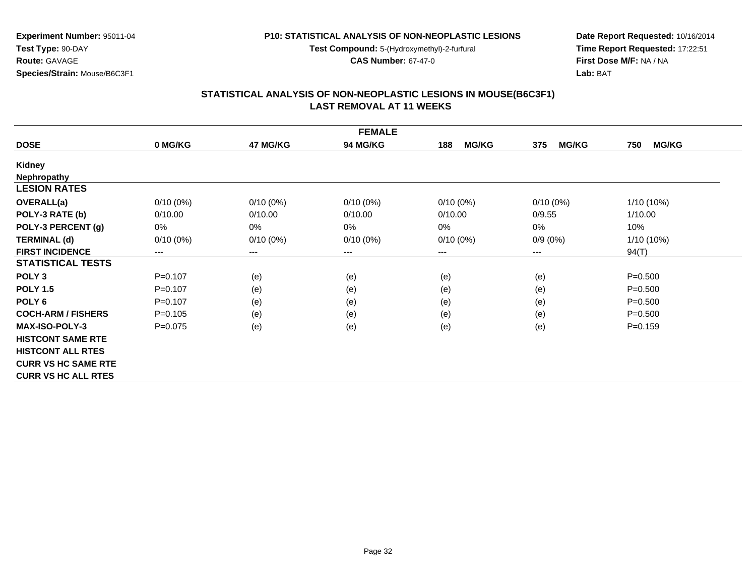**Test Compound:** 5-(Hydroxymethyl)-2-furfural

**CAS Number:** 67-47-0

**Date Report Requested:** 10/16/2014**Time Report Requested:** 17:22:51**First Dose M/F:** NA / NA**Lab:** BAT

### **STATISTICAL ANALYSIS OF NON-NEOPLASTIC LESIONS IN MOUSE(B6C3F1) LAST REMOVAL AT 11 WEEKS**

|                            |             |                            | <b>FEMALE</b>   |                     |                     |                     |
|----------------------------|-------------|----------------------------|-----------------|---------------------|---------------------|---------------------|
| <b>DOSE</b>                | 0 MG/KG     | 47 MG/KG                   | <b>94 MG/KG</b> | <b>MG/KG</b><br>188 | <b>MG/KG</b><br>375 | 750<br><b>MG/KG</b> |
| <b>Kidney</b>              |             |                            |                 |                     |                     |                     |
| Nephropathy                |             |                            |                 |                     |                     |                     |
| <b>LESION RATES</b>        |             |                            |                 |                     |                     |                     |
| OVERALL(a)                 | $0/10(0\%)$ | $0/10(0\%)$                | $0/10(0\%)$     | $0/10(0\%)$         | $0/10(0\%)$         | $1/10(10\%)$        |
| POLY-3 RATE (b)            | 0/10.00     | 0/10.00                    | 0/10.00         | 0/10.00             | 0/9.55              | 1/10.00             |
| POLY-3 PERCENT (g)         | 0%          | $0\%$                      | 0%              | 0%                  | $0\%$               | 10%                 |
| <b>TERMINAL (d)</b>        | $0/10(0\%)$ | $0/10(0\%)$                | $0/10(0\%)$     | $0/10(0\%)$         | $0/9(0\%)$          | $1/10(10\%)$        |
| <b>FIRST INCIDENCE</b>     | ---         | $\qquad \qquad - \qquad -$ | $---$           | $---$               | ---                 | 94(T)               |
| <b>STATISTICAL TESTS</b>   |             |                            |                 |                     |                     |                     |
| POLY <sub>3</sub>          | $P=0.107$   | (e)                        | (e)             | (e)                 | (e)                 | $P = 0.500$         |
| <b>POLY 1.5</b>            | $P = 0.107$ | (e)                        | (e)             | (e)                 | (e)                 | $P = 0.500$         |
| POLY <sub>6</sub>          | $P=0.107$   | (e)                        | (e)             | (e)                 | (e)                 | $P = 0.500$         |
| <b>COCH-ARM / FISHERS</b>  | $P = 0.105$ | (e)                        | (e)             | (e)                 | (e)                 | $P = 0.500$         |
| <b>MAX-ISO-POLY-3</b>      | $P = 0.075$ | (e)                        | (e)             | (e)                 | (e)                 | $P = 0.159$         |
| <b>HISTCONT SAME RTE</b>   |             |                            |                 |                     |                     |                     |
| <b>HISTCONT ALL RTES</b>   |             |                            |                 |                     |                     |                     |
| <b>CURR VS HC SAME RTE</b> |             |                            |                 |                     |                     |                     |
| <b>CURR VS HC ALL RTES</b> |             |                            |                 |                     |                     |                     |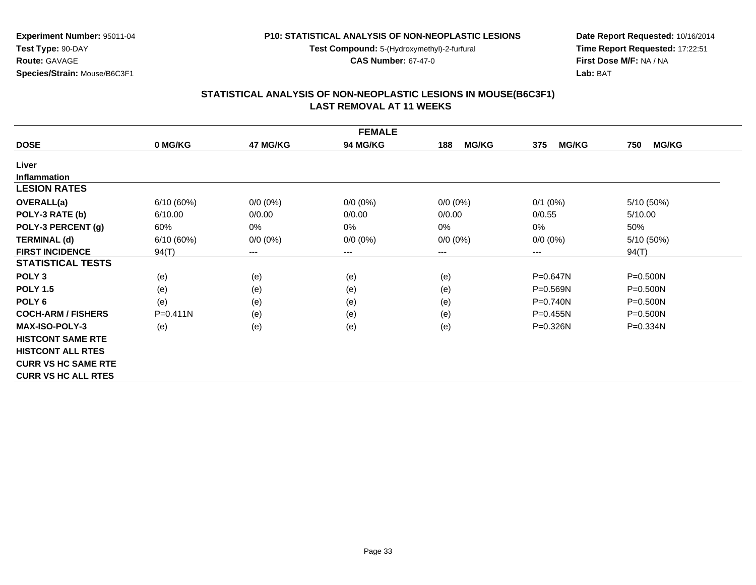**Test Compound:** 5-(Hydroxymethyl)-2-furfural

**CAS Number:** 67-47-0

**Date Report Requested:** 10/16/2014**Time Report Requested:** 17:22:51**First Dose M/F:** NA / NA**Lab:** BAT

#### **STATISTICAL ANALYSIS OF NON-NEOPLASTIC LESIONS IN MOUSE(B6C3F1) LAST REMOVAL AT 11 WEEKS**

|                            |           |             | <b>FEMALE</b>   |                     |                     |                     |
|----------------------------|-----------|-------------|-----------------|---------------------|---------------------|---------------------|
| <b>DOSE</b>                | 0 MG/KG   | 47 MG/KG    | <b>94 MG/KG</b> | <b>MG/KG</b><br>188 | <b>MG/KG</b><br>375 | <b>MG/KG</b><br>750 |
| Liver                      |           |             |                 |                     |                     |                     |
| Inflammation               |           |             |                 |                     |                     |                     |
| <b>LESION RATES</b>        |           |             |                 |                     |                     |                     |
| <b>OVERALL(a)</b>          | 6/10(60%) | $0/0 (0\%)$ | $0/0 (0\%)$     | $0/0 (0\%)$         | $0/1$ (0%)          | 5/10 (50%)          |
| POLY-3 RATE (b)            | 6/10.00   | 0/0.00      | 0/0.00          | 0/0.00              | 0/0.55              | 5/10.00             |
| POLY-3 PERCENT (g)         | 60%       | 0%          | 0%              | 0%                  | 0%                  | 50%                 |
| <b>TERMINAL (d)</b>        | 6/10(60%) | $0/0 (0\%)$ | $0/0 (0\%)$     | $0/0 (0\%)$         | $0/0 (0\%)$         | 5/10(50%)           |
| <b>FIRST INCIDENCE</b>     | 94(T)     | $---$       | ---             | ---                 | ---                 | 94(T)               |
| <b>STATISTICAL TESTS</b>   |           |             |                 |                     |                     |                     |
| POLY <sub>3</sub>          | (e)       | (e)         | (e)             | (e)                 | $P = 0.647N$        | $P = 0.500N$        |
| <b>POLY 1.5</b>            | (e)       | (e)         | (e)             | (e)                 | $P = 0.569N$        | $P = 0.500N$        |
| POLY <sub>6</sub>          | (e)       | (e)         | (e)             | (e)                 | $P = 0.740N$        | $P = 0.500N$        |
| <b>COCH-ARM / FISHERS</b>  | P=0.411N  | (e)         | (e)             | (e)                 | $P=0.455N$          | $P = 0.500N$        |
| <b>MAX-ISO-POLY-3</b>      | (e)       | (e)         | (e)             | (e)                 | $P = 0.326N$        | $P = 0.334N$        |
| <b>HISTCONT SAME RTE</b>   |           |             |                 |                     |                     |                     |
| <b>HISTCONT ALL RTES</b>   |           |             |                 |                     |                     |                     |
| <b>CURR VS HC SAME RTE</b> |           |             |                 |                     |                     |                     |
| <b>CURR VS HC ALL RTES</b> |           |             |                 |                     |                     |                     |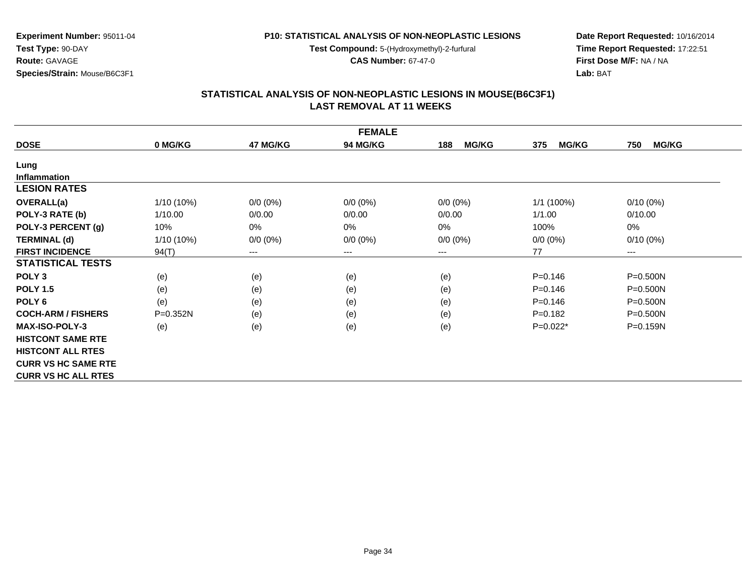**Test Compound:** 5-(Hydroxymethyl)-2-furfural

**CAS Number:** 67-47-0

**Date Report Requested:** 10/16/2014**Time Report Requested:** 17:22:51**First Dose M/F:** NA / NA**Lab:** BAT

### **STATISTICAL ANALYSIS OF NON-NEOPLASTIC LESIONS IN MOUSE(B6C3F1) LAST REMOVAL AT 11 WEEKS**

|                            |            |             | <b>FEMALE</b>   |                     |                     |                     |
|----------------------------|------------|-------------|-----------------|---------------------|---------------------|---------------------|
| <b>DOSE</b>                | 0 MG/KG    | 47 MG/KG    | <b>94 MG/KG</b> | <b>MG/KG</b><br>188 | <b>MG/KG</b><br>375 | <b>MG/KG</b><br>750 |
| Lung                       |            |             |                 |                     |                     |                     |
| <b>Inflammation</b>        |            |             |                 |                     |                     |                     |
| <b>LESION RATES</b>        |            |             |                 |                     |                     |                     |
| <b>OVERALL(a)</b>          | 1/10 (10%) | $0/0 (0\%)$ | $0/0 (0\%)$     | $0/0 (0\%)$         | $1/1$ (100%)        | $0/10(0\%)$         |
| POLY-3 RATE (b)            | 1/10.00    | 0/0.00      | 0/0.00          | 0/0.00              | 1/1.00              | 0/10.00             |
| POLY-3 PERCENT (g)         | 10%        | 0%          | 0%              | 0%                  | 100%                | 0%                  |
| <b>TERMINAL (d)</b>        | 1/10 (10%) | $0/0 (0\%)$ | $0/0 (0\%)$     | $0/0 (0\%)$         | $0/0 (0\%)$         | $0/10(0\%)$         |
| <b>FIRST INCIDENCE</b>     | 94(T)      | $---$       | $---$           | $--$                | 77                  | $---$               |
| <b>STATISTICAL TESTS</b>   |            |             |                 |                     |                     |                     |
| POLY <sub>3</sub>          | (e)        | (e)         | (e)             | (e)                 | $P = 0.146$         | P=0.500N            |
| <b>POLY 1.5</b>            | (e)        | (e)         | (e)             | (e)                 | $P = 0.146$         | $P = 0.500N$        |
| POLY <sub>6</sub>          | (e)        | (e)         | (e)             | (e)                 | $P = 0.146$         | P=0.500N            |
| <b>COCH-ARM / FISHERS</b>  | P=0.352N   | (e)         | (e)             | (e)                 | $P = 0.182$         | $P = 0.500N$        |
| <b>MAX-ISO-POLY-3</b>      | (e)        | (e)         | (e)             | (e)                 | $P=0.022*$          | P=0.159N            |
| <b>HISTCONT SAME RTE</b>   |            |             |                 |                     |                     |                     |
| <b>HISTCONT ALL RTES</b>   |            |             |                 |                     |                     |                     |
| <b>CURR VS HC SAME RTE</b> |            |             |                 |                     |                     |                     |
| <b>CURR VS HC ALL RTES</b> |            |             |                 |                     |                     |                     |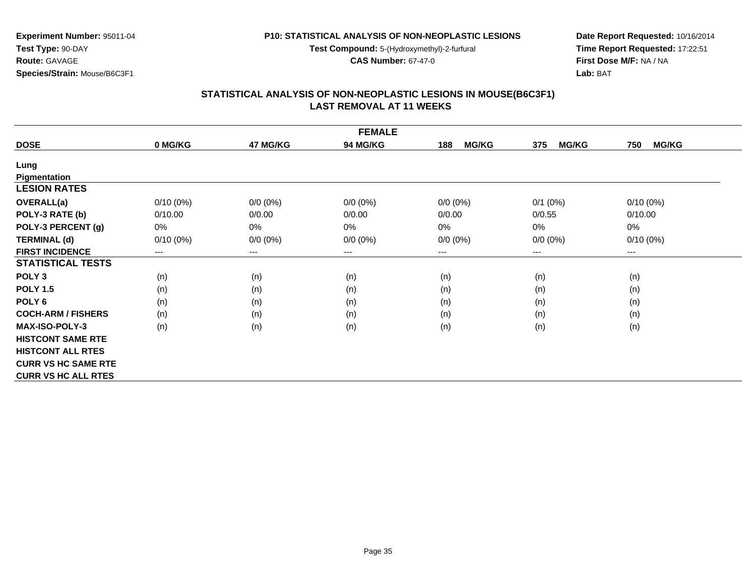**Test Compound:** 5-(Hydroxymethyl)-2-furfural

**CAS Number:** 67-47-0

**Date Report Requested:** 10/16/2014**Time Report Requested:** 17:22:51**First Dose M/F:** NA / NA**Lab:** BAT

### **STATISTICAL ANALYSIS OF NON-NEOPLASTIC LESIONS IN MOUSE(B6C3F1) LAST REMOVAL AT 11 WEEKS**

|                            |             |             | <b>FEMALE</b>   |                     |                     |                     |
|----------------------------|-------------|-------------|-----------------|---------------------|---------------------|---------------------|
| <b>DOSE</b>                | 0 MG/KG     | 47 MG/KG    | <b>94 MG/KG</b> | <b>MG/KG</b><br>188 | <b>MG/KG</b><br>375 | <b>MG/KG</b><br>750 |
| Lung                       |             |             |                 |                     |                     |                     |
| Pigmentation               |             |             |                 |                     |                     |                     |
| <b>LESION RATES</b>        |             |             |                 |                     |                     |                     |
| <b>OVERALL(a)</b>          | $0/10(0\%)$ | $0/0 (0\%)$ | $0/0 (0\%)$     | $0/0 (0\%)$         | $0/1$ $(0%)$        | $0/10(0\%)$         |
| POLY-3 RATE (b)            | 0/10.00     | 0/0.00      | 0/0.00          | 0/0.00              | 0/0.55              | 0/10.00             |
| POLY-3 PERCENT (g)         | 0%          | 0%          | 0%              | 0%                  | 0%                  | 0%                  |
| <b>TERMINAL (d)</b>        | $0/10(0\%)$ | $0/0 (0\%)$ | $0/0 (0\%)$     | $0/0 (0\%)$         | $0/0 (0\%)$         | $0/10(0\%)$         |
| <b>FIRST INCIDENCE</b>     | $---$       | $---$       | $---$           | $---$               | ---                 | $---$               |
| <b>STATISTICAL TESTS</b>   |             |             |                 |                     |                     |                     |
| POLY <sub>3</sub>          | (n)         | (n)         | (n)             | (n)                 | (n)                 | (n)                 |
| <b>POLY 1.5</b>            | (n)         | (n)         | (n)             | (n)                 | (n)                 | (n)                 |
| POLY <sub>6</sub>          | (n)         | (n)         | (n)             | (n)                 | (n)                 | (n)                 |
| <b>COCH-ARM / FISHERS</b>  | (n)         | (n)         | (n)             | (n)                 | (n)                 | (n)                 |
| <b>MAX-ISO-POLY-3</b>      | (n)         | (n)         | (n)             | (n)                 | (n)                 | (n)                 |
| <b>HISTCONT SAME RTE</b>   |             |             |                 |                     |                     |                     |
| <b>HISTCONT ALL RTES</b>   |             |             |                 |                     |                     |                     |
| <b>CURR VS HC SAME RTE</b> |             |             |                 |                     |                     |                     |
| <b>CURR VS HC ALL RTES</b> |             |             |                 |                     |                     |                     |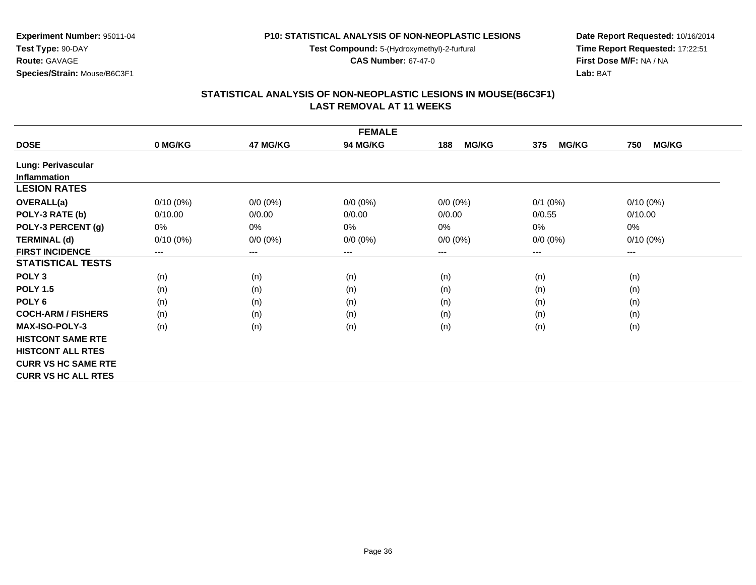**Test Compound:** 5-(Hydroxymethyl)-2-furfural

**CAS Number:** 67-47-0

**Date Report Requested:** 10/16/2014**Time Report Requested:** 17:22:51**First Dose M/F:** NA / NA**Lab:** BAT

### **STATISTICAL ANALYSIS OF NON-NEOPLASTIC LESIONS IN MOUSE(B6C3F1) LAST REMOVAL AT 11 WEEKS**

|                            |             |             | <b>FEMALE</b> |                     |                     |                     |
|----------------------------|-------------|-------------|---------------|---------------------|---------------------|---------------------|
| <b>DOSE</b>                | 0 MG/KG     | 47 MG/KG    | 94 MG/KG      | <b>MG/KG</b><br>188 | <b>MG/KG</b><br>375 | <b>MG/KG</b><br>750 |
| Lung: Perivascular         |             |             |               |                     |                     |                     |
| <b>Inflammation</b>        |             |             |               |                     |                     |                     |
| <b>LESION RATES</b>        |             |             |               |                     |                     |                     |
| <b>OVERALL(a)</b>          | $0/10(0\%)$ | $0/0 (0\%)$ | $0/0 (0\%)$   | $0/0 (0\%)$         | $0/1$ $(0%)$        | $0/10(0\%)$         |
| POLY-3 RATE (b)            | 0/10.00     | 0/0.00      | 0/0.00        | 0/0.00              | 0/0.55              | 0/10.00             |
| POLY-3 PERCENT (g)         | 0%          | 0%          | 0%            | $0\%$               | 0%                  | 0%                  |
| <b>TERMINAL (d)</b>        | $0/10(0\%)$ | $0/0 (0\%)$ | $0/0 (0\%)$   | $0/0 (0\%)$         | $0/0 (0\%)$         | $0/10(0\%)$         |
| <b>FIRST INCIDENCE</b>     | $---$       | $---$       | $---$         | $---$               | ---                 | $---$               |
| <b>STATISTICAL TESTS</b>   |             |             |               |                     |                     |                     |
| POLY <sub>3</sub>          | (n)         | (n)         | (n)           | (n)                 | (n)                 | (n)                 |
| <b>POLY 1.5</b>            | (n)         | (n)         | (n)           | (n)                 | (n)                 | (n)                 |
| POLY <sub>6</sub>          | (n)         | (n)         | (n)           | (n)                 | (n)                 | (n)                 |
| <b>COCH-ARM / FISHERS</b>  | (n)         | (n)         | (n)           | (n)                 | (n)                 | (n)                 |
| <b>MAX-ISO-POLY-3</b>      | (n)         | (n)         | (n)           | (n)                 | (n)                 | (n)                 |
| <b>HISTCONT SAME RTE</b>   |             |             |               |                     |                     |                     |
| <b>HISTCONT ALL RTES</b>   |             |             |               |                     |                     |                     |
| <b>CURR VS HC SAME RTE</b> |             |             |               |                     |                     |                     |
| <b>CURR VS HC ALL RTES</b> |             |             |               |                     |                     |                     |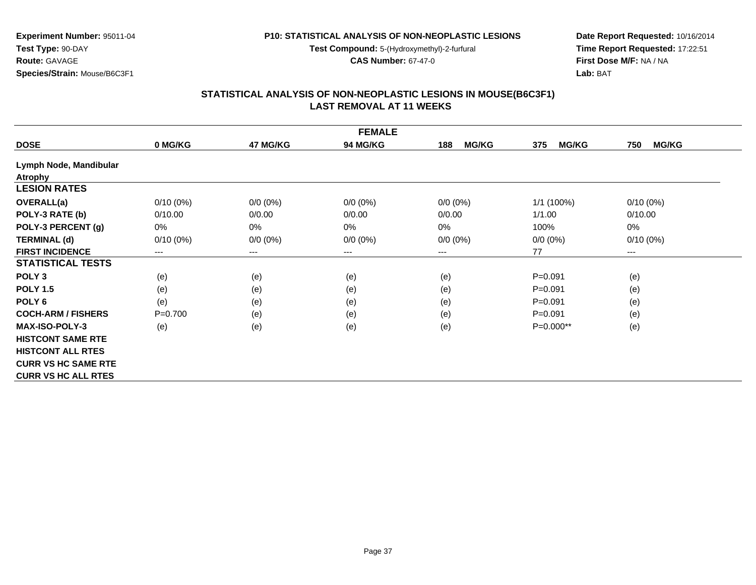**Test Compound:** 5-(Hydroxymethyl)-2-furfural

**CAS Number:** 67-47-0

**Date Report Requested:** 10/16/2014**Time Report Requested:** 17:22:51**First Dose M/F:** NA / NA**Lab:** BAT

## **STATISTICAL ANALYSIS OF NON-NEOPLASTIC LESIONS IN MOUSE(B6C3F1) LAST REMOVAL AT 11 WEEKS**

| <b>FEMALE</b>              |             |                        |                 |                     |                     |                        |  |  |
|----------------------------|-------------|------------------------|-----------------|---------------------|---------------------|------------------------|--|--|
| <b>DOSE</b>                | 0 MG/KG     | 47 MG/KG               | <b>94 MG/KG</b> | <b>MG/KG</b><br>188 | <b>MG/KG</b><br>375 | 750<br><b>MG/KG</b>    |  |  |
| Lymph Node, Mandibular     |             |                        |                 |                     |                     |                        |  |  |
| <b>Atrophy</b>             |             |                        |                 |                     |                     |                        |  |  |
| <b>LESION RATES</b>        |             |                        |                 |                     |                     |                        |  |  |
| <b>OVERALL(a)</b>          | $0/10(0\%)$ | $0/0 (0\%)$            | $0/0 (0\%)$     | $0/0 (0\%)$         | 1/1 (100%)          | $0/10(0\%)$            |  |  |
| POLY-3 RATE (b)            | 0/10.00     | 0/0.00                 | 0/0.00          | 0/0.00              | 1/1.00              | 0/10.00                |  |  |
| POLY-3 PERCENT (g)         | 0%          | 0%                     | 0%              | $0\%$               | 100%                | 0%                     |  |  |
| <b>TERMINAL (d)</b>        | $0/10(0\%)$ | $0/0 (0\%)$            | $0/0 (0\%)$     | $0/0 (0\%)$         | $0/0 (0\%)$         | $0/10(0\%)$            |  |  |
| <b>FIRST INCIDENCE</b>     | $---$       | $\qquad \qquad \cdots$ | ---             | $---$               | 77                  | $\qquad \qquad \cdots$ |  |  |
| <b>STATISTICAL TESTS</b>   |             |                        |                 |                     |                     |                        |  |  |
| POLY <sub>3</sub>          | (e)         | (e)                    | (e)             | (e)                 | $P = 0.091$         | (e)                    |  |  |
| <b>POLY 1.5</b>            | (e)         | (e)                    | (e)             | (e)                 | $P = 0.091$         | (e)                    |  |  |
| POLY <sub>6</sub>          | (e)         | (e)                    | (e)             | (e)                 | $P=0.091$           | (e)                    |  |  |
| <b>COCH-ARM / FISHERS</b>  | $P=0.700$   | (e)                    | (e)             | (e)                 | $P = 0.091$         | (e)                    |  |  |
| <b>MAX-ISO-POLY-3</b>      | (e)         | (e)                    | (e)             | (e)                 | P=0.000**           | (e)                    |  |  |
| <b>HISTCONT SAME RTE</b>   |             |                        |                 |                     |                     |                        |  |  |
| <b>HISTCONT ALL RTES</b>   |             |                        |                 |                     |                     |                        |  |  |
| <b>CURR VS HC SAME RTE</b> |             |                        |                 |                     |                     |                        |  |  |
| <b>CURR VS HC ALL RTES</b> |             |                        |                 |                     |                     |                        |  |  |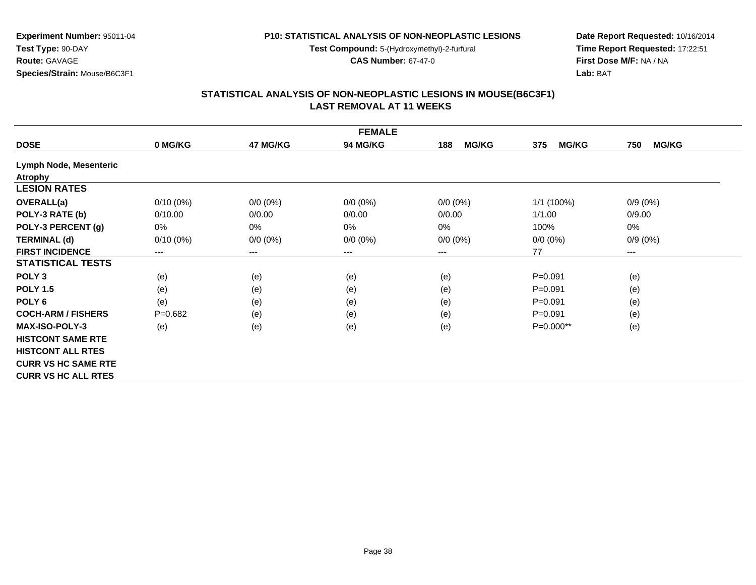**Test Compound:** 5-(Hydroxymethyl)-2-furfural

**CAS Number:** 67-47-0

**Date Report Requested:** 10/16/2014**Time Report Requested:** 17:22:51**First Dose M/F:** NA / NA**Lab:** BAT

## **STATISTICAL ANALYSIS OF NON-NEOPLASTIC LESIONS IN MOUSE(B6C3F1) LAST REMOVAL AT 11 WEEKS**

| <b>FEMALE</b>              |             |             |                 |                     |                     |                        |
|----------------------------|-------------|-------------|-----------------|---------------------|---------------------|------------------------|
| <b>DOSE</b>                | 0 MG/KG     | 47 MG/KG    | <b>94 MG/KG</b> | <b>MG/KG</b><br>188 | <b>MG/KG</b><br>375 | 750<br><b>MG/KG</b>    |
| Lymph Node, Mesenteric     |             |             |                 |                     |                     |                        |
| <b>Atrophy</b>             |             |             |                 |                     |                     |                        |
| <b>LESION RATES</b>        |             |             |                 |                     |                     |                        |
| <b>OVERALL(a)</b>          | $0/10(0\%)$ | $0/0 (0\%)$ | $0/0 (0\%)$     | $0/0 (0\%)$         | 1/1(100%)           | $0/9(0\%)$             |
| POLY-3 RATE (b)            | 0/10.00     | 0/0.00      | 0/0.00          | 0/0.00              | 1/1.00              | 0/9.00                 |
| POLY-3 PERCENT (g)         | 0%          | 0%          | $0\%$           | 0%                  | 100%                | 0%                     |
| <b>TERMINAL (d)</b>        | $0/10(0\%)$ | $0/0 (0\%)$ | $0/0 (0\%)$     | $0/0 (0\%)$         | $0/0 (0\%)$         | $0/9(0\%)$             |
| <b>FIRST INCIDENCE</b>     | $---$       | $---$       | ---             | ---                 | 77                  | $\qquad \qquad \cdots$ |
| <b>STATISTICAL TESTS</b>   |             |             |                 |                     |                     |                        |
| POLY <sub>3</sub>          | (e)         | (e)         | (e)             | (e)                 | $P = 0.091$         | (e)                    |
| <b>POLY 1.5</b>            | (e)         | (e)         | (e)             | (e)                 | $P = 0.091$         | (e)                    |
| POLY <sub>6</sub>          | (e)         | (e)         | (e)             | (e)                 | $P = 0.091$         | (e)                    |
| <b>COCH-ARM / FISHERS</b>  | $P=0.682$   | (e)         | (e)             | (e)                 | $P = 0.091$         | (e)                    |
| <b>MAX-ISO-POLY-3</b>      | (e)         | (e)         | (e)             | (e)                 | P=0.000**           | (e)                    |
| <b>HISTCONT SAME RTE</b>   |             |             |                 |                     |                     |                        |
| <b>HISTCONT ALL RTES</b>   |             |             |                 |                     |                     |                        |
| <b>CURR VS HC SAME RTE</b> |             |             |                 |                     |                     |                        |
| <b>CURR VS HC ALL RTES</b> |             |             |                 |                     |                     |                        |

**Test Type:** 90-DAY**Route:** GAVAGE

**Species/Strain:** Mouse/B6C3F1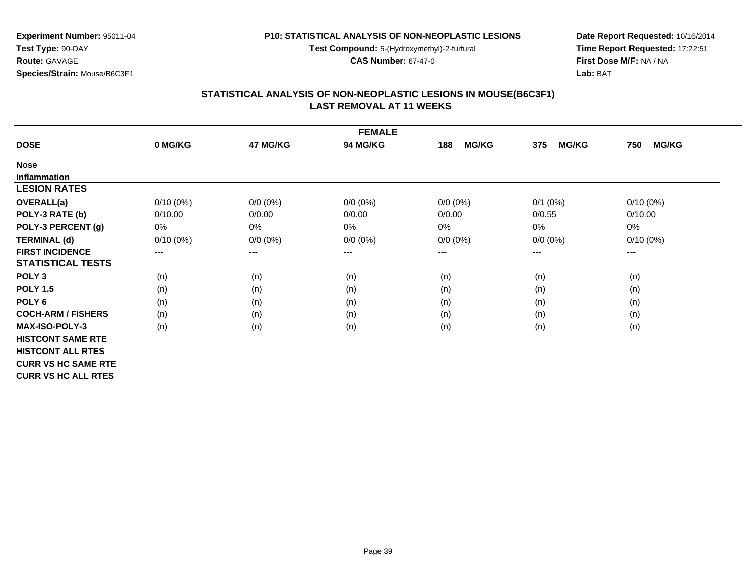**Test Compound:** 5-(Hydroxymethyl)-2-furfural

**CAS Number:** 67-47-0

**Date Report Requested:** 10/16/2014**Time Report Requested:** 17:22:51**First Dose M/F:** NA / NA**Lab:** BAT

### **STATISTICAL ANALYSIS OF NON-NEOPLASTIC LESIONS IN MOUSE(B6C3F1) LAST REMOVAL AT 11 WEEKS**

| <b>FEMALE</b>              |             |             |                 |                     |                     |                     |
|----------------------------|-------------|-------------|-----------------|---------------------|---------------------|---------------------|
| <b>DOSE</b>                | 0 MG/KG     | 47 MG/KG    | <b>94 MG/KG</b> | <b>MG/KG</b><br>188 | <b>MG/KG</b><br>375 | <b>MG/KG</b><br>750 |
| <b>Nose</b>                |             |             |                 |                     |                     |                     |
| <b>Inflammation</b>        |             |             |                 |                     |                     |                     |
| <b>LESION RATES</b>        |             |             |                 |                     |                     |                     |
| OVERALL(a)                 | $0/10(0\%)$ | $0/0 (0\%)$ | $0/0 (0\%)$     | $0/0 (0\%)$         | $0/1$ $(0%)$        | $0/10(0\%)$         |
| POLY-3 RATE (b)            | 0/10.00     | 0/0.00      | 0/0.00          | 0/0.00              | 0/0.55              | 0/10.00             |
| POLY-3 PERCENT (g)         | $0\%$       | 0%          | 0%              | 0%                  | 0%                  | 0%                  |
| <b>TERMINAL (d)</b>        | $0/10(0\%)$ | $0/0 (0\%)$ | $0/0 (0\%)$     | $0/0 (0\%)$         | $0/0 (0\%)$         | $0/10(0\%)$         |
| <b>FIRST INCIDENCE</b>     | $---$       | $---$       | $---$           | $---$               | $---$               | ---                 |
| <b>STATISTICAL TESTS</b>   |             |             |                 |                     |                     |                     |
| POLY <sub>3</sub>          | (n)         | (n)         | (n)             | (n)                 | (n)                 | (n)                 |
| <b>POLY 1.5</b>            | (n)         | (n)         | (n)             | (n)                 | (n)                 | (n)                 |
| POLY <sub>6</sub>          | (n)         | (n)         | (n)             | (n)                 | (n)                 | (n)                 |
| <b>COCH-ARM / FISHERS</b>  | (n)         | (n)         | (n)             | (n)                 | (n)                 | (n)                 |
| <b>MAX-ISO-POLY-3</b>      | (n)         | (n)         | (n)             | (n)                 | (n)                 | (n)                 |
| <b>HISTCONT SAME RTE</b>   |             |             |                 |                     |                     |                     |
| <b>HISTCONT ALL RTES</b>   |             |             |                 |                     |                     |                     |
| <b>CURR VS HC SAME RTE</b> |             |             |                 |                     |                     |                     |
| <b>CURR VS HC ALL RTES</b> |             |             |                 |                     |                     |                     |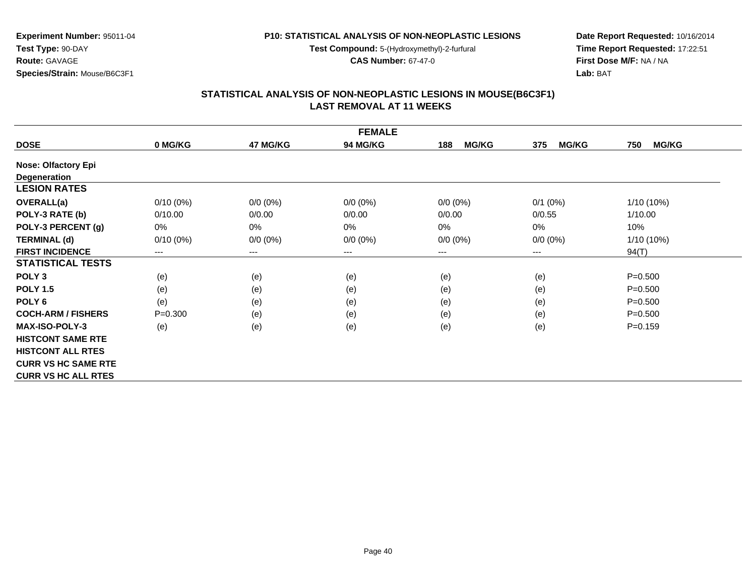**Test Compound:** 5-(Hydroxymethyl)-2-furfural

**CAS Number:** 67-47-0

**Date Report Requested:** 10/16/2014**Time Report Requested:** 17:22:51**First Dose M/F:** NA / NA**Lab:** BAT

### **STATISTICAL ANALYSIS OF NON-NEOPLASTIC LESIONS IN MOUSE(B6C3F1) LAST REMOVAL AT 11 WEEKS**

| <b>FEMALE</b>              |             |             |             |                     |                     |                     |
|----------------------------|-------------|-------------|-------------|---------------------|---------------------|---------------------|
| <b>DOSE</b>                | 0 MG/KG     | 47 MG/KG    | 94 MG/KG    | <b>MG/KG</b><br>188 | <b>MG/KG</b><br>375 | <b>MG/KG</b><br>750 |
| <b>Nose: Olfactory Epi</b> |             |             |             |                     |                     |                     |
| <b>Degeneration</b>        |             |             |             |                     |                     |                     |
| <b>LESION RATES</b>        |             |             |             |                     |                     |                     |
| <b>OVERALL(a)</b>          | $0/10(0\%)$ | $0/0 (0\%)$ | $0/0 (0\%)$ | $0/0 (0\%)$         | $0/1$ (0%)          | $1/10(10\%)$        |
| POLY-3 RATE (b)            | 0/10.00     | 0/0.00      | 0/0.00      | 0/0.00              | 0/0.55              | 1/10.00             |
| POLY-3 PERCENT (g)         | 0%          | 0%          | 0%          | 0%                  | 0%                  | 10%                 |
| <b>TERMINAL (d)</b>        | $0/10(0\%)$ | $0/0 (0\%)$ | $0/0 (0\%)$ | $0/0 (0\%)$         | $0/0 (0\%)$         | $1/10(10\%)$        |
| <b>FIRST INCIDENCE</b>     | $---$       | ---         | $---$       | $--$                | ---                 | 94(T)               |
| <b>STATISTICAL TESTS</b>   |             |             |             |                     |                     |                     |
| POLY <sub>3</sub>          | (e)         | (e)         | (e)         | (e)                 | (e)                 | $P = 0.500$         |
| <b>POLY 1.5</b>            | (e)         | (e)         | (e)         | (e)                 | (e)                 | $P = 0.500$         |
| POLY <sub>6</sub>          | (e)         | (e)         | (e)         | (e)                 | (e)                 | $P = 0.500$         |
| <b>COCH-ARM / FISHERS</b>  | $P = 0.300$ | (e)         | (e)         | (e)                 | (e)                 | $P = 0.500$         |
| <b>MAX-ISO-POLY-3</b>      | (e)         | (e)         | (e)         | (e)                 | (e)                 | $P = 0.159$         |
| <b>HISTCONT SAME RTE</b>   |             |             |             |                     |                     |                     |
| <b>HISTCONT ALL RTES</b>   |             |             |             |                     |                     |                     |
| <b>CURR VS HC SAME RTE</b> |             |             |             |                     |                     |                     |
| <b>CURR VS HC ALL RTES</b> |             |             |             |                     |                     |                     |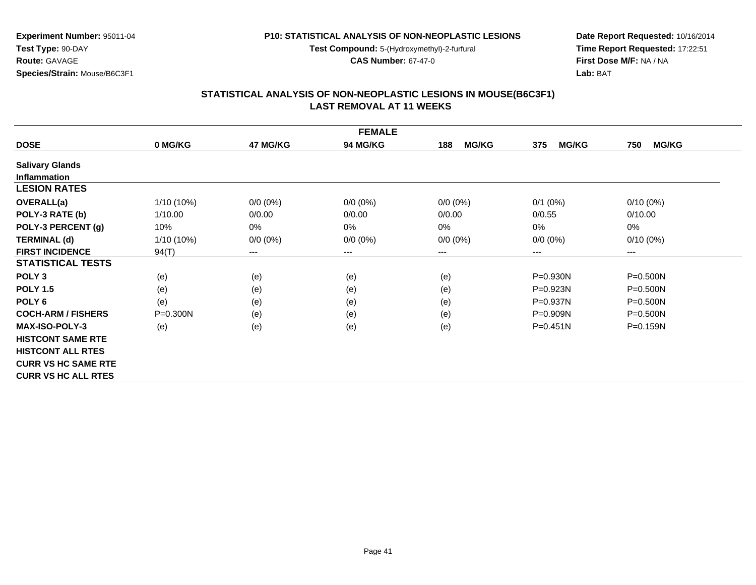**Test Compound:** 5-(Hydroxymethyl)-2-furfural

**CAS Number:** 67-47-0

**Experiment Number:** 95011-04

**Species/Strain:** Mouse/B6C3F1

**Test Type:** 90-DAY**Route:** GAVAGE

**Date Report Requested:** 10/16/2014**Time Report Requested:** 17:22:51**First Dose M/F:** NA / NA**Lab:** BAT

### **STATISTICAL ANALYSIS OF NON-NEOPLASTIC LESIONS IN MOUSE(B6C3F1) LAST REMOVAL AT 11 WEEKS**

| <b>FEMALE</b>              |            |             |                 |                     |                     |                     |
|----------------------------|------------|-------------|-----------------|---------------------|---------------------|---------------------|
| <b>DOSE</b>                | 0 MG/KG    | 47 MG/KG    | <b>94 MG/KG</b> | <b>MG/KG</b><br>188 | <b>MG/KG</b><br>375 | <b>MG/KG</b><br>750 |
| <b>Salivary Glands</b>     |            |             |                 |                     |                     |                     |
| <b>Inflammation</b>        |            |             |                 |                     |                     |                     |
| <b>LESION RATES</b>        |            |             |                 |                     |                     |                     |
| <b>OVERALL(a)</b>          | 1/10 (10%) | $0/0 (0\%)$ | $0/0 (0\%)$     | $0/0 (0\%)$         | $0/1$ (0%)          | $0/10(0\%)$         |
| POLY-3 RATE (b)            | 1/10.00    | 0/0.00      | 0/0.00          | 0/0.00              | 0/0.55              | 0/10.00             |
| POLY-3 PERCENT (g)         | 10%        | 0%          | 0%              | 0%                  | 0%                  | 0%                  |
| <b>TERMINAL (d)</b>        | 1/10 (10%) | $0/0 (0\%)$ | $0/0 (0\%)$     | $0/0 (0\%)$         | $0/0 (0\%)$         | $0/10(0\%)$         |
| <b>FIRST INCIDENCE</b>     | 94(T)      | $---$       | $---$           | $--$                | ---                 | $---$               |
| <b>STATISTICAL TESTS</b>   |            |             |                 |                     |                     |                     |
| POLY <sub>3</sub>          | (e)        | (e)         | (e)             | (e)                 | P=0.930N            | $P = 0.500N$        |
| <b>POLY 1.5</b>            | (e)        | (e)         | (e)             | (e)                 | $P = 0.923N$        | $P = 0.500N$        |
| POLY <sub>6</sub>          | (e)        | (e)         | (e)             | (e)                 | P=0.937N            | $P = 0.500N$        |
| <b>COCH-ARM / FISHERS</b>  | P=0.300N   | (e)         | (e)             | (e)                 | P=0.909N            | $P = 0.500N$        |
| <b>MAX-ISO-POLY-3</b>      | (e)        | (e)         | (e)             | (e)                 | $P = 0.451N$        | $P = 0.159N$        |
| <b>HISTCONT SAME RTE</b>   |            |             |                 |                     |                     |                     |
| <b>HISTCONT ALL RTES</b>   |            |             |                 |                     |                     |                     |
| <b>CURR VS HC SAME RTE</b> |            |             |                 |                     |                     |                     |
| <b>CURR VS HC ALL RTES</b> |            |             |                 |                     |                     |                     |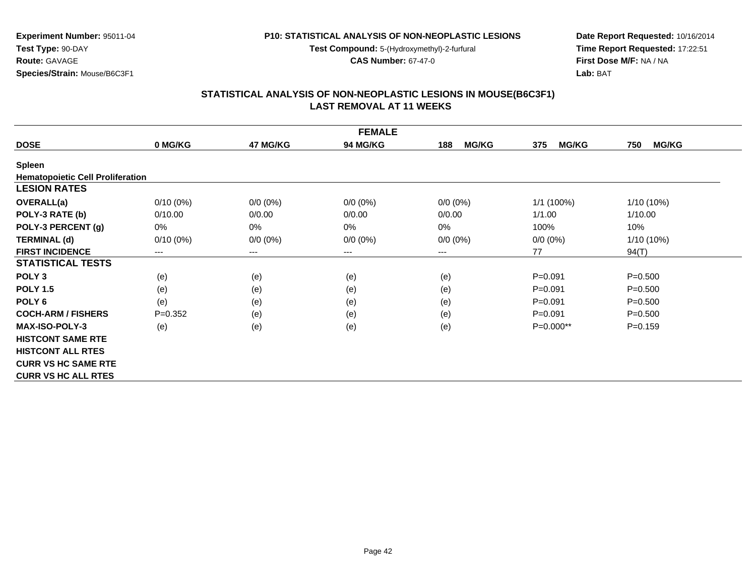**Test Compound:** 5-(Hydroxymethyl)-2-furfural

**CAS Number:** 67-47-0

**Date Report Requested:** 10/16/2014**Time Report Requested:** 17:22:51**First Dose M/F:** NA / NA**Lab:** BAT

## **STATISTICAL ANALYSIS OF NON-NEOPLASTIC LESIONS IN MOUSE(B6C3F1) LAST REMOVAL AT 11 WEEKS**

| <b>FEMALE</b>                           |             |             |                 |                     |                     |                     |
|-----------------------------------------|-------------|-------------|-----------------|---------------------|---------------------|---------------------|
| <b>DOSE</b>                             | 0 MG/KG     | 47 MG/KG    | <b>94 MG/KG</b> | <b>MG/KG</b><br>188 | <b>MG/KG</b><br>375 | 750<br><b>MG/KG</b> |
| Spleen                                  |             |             |                 |                     |                     |                     |
| <b>Hematopoietic Cell Proliferation</b> |             |             |                 |                     |                     |                     |
| <b>LESION RATES</b>                     |             |             |                 |                     |                     |                     |
| <b>OVERALL(a)</b>                       | $0/10(0\%)$ | $0/0 (0\%)$ | $0/0 (0\%)$     | $0/0 (0\%)$         | 1/1 (100%)          | $1/10(10\%)$        |
| POLY-3 RATE (b)                         | 0/10.00     | 0/0.00      | 0/0.00          | 0/0.00              | 1/1.00              | 1/10.00             |
| POLY-3 PERCENT (g)                      | 0%          | 0%          | 0%              | 0%                  | 100%                | 10%                 |
| <b>TERMINAL (d)</b>                     | $0/10(0\%)$ | $0/0 (0\%)$ | $0/0 (0\%)$     | $0/0 (0\%)$         | $0/0 (0\%)$         | $1/10(10\%)$        |
| <b>FIRST INCIDENCE</b>                  | $---$       | ---         | ---             | ---                 | 77                  | 94(T)               |
| <b>STATISTICAL TESTS</b>                |             |             |                 |                     |                     |                     |
| POLY <sub>3</sub>                       | (e)         | (e)         | (e)             | (e)                 | $P = 0.091$         | $P = 0.500$         |
| <b>POLY 1.5</b>                         | (e)         | (e)         | (e)             | (e)                 | $P = 0.091$         | $P = 0.500$         |
| POLY <sub>6</sub>                       | (e)         | (e)         | (e)             | (e)                 | $P = 0.091$         | $P = 0.500$         |
| <b>COCH-ARM / FISHERS</b>               | $P=0.352$   | (e)         | (e)             | (e)                 | $P = 0.091$         | $P = 0.500$         |
| <b>MAX-ISO-POLY-3</b>                   | (e)         | (e)         | (e)             | (e)                 | P=0.000**           | $P = 0.159$         |
| <b>HISTCONT SAME RTE</b>                |             |             |                 |                     |                     |                     |
| <b>HISTCONT ALL RTES</b>                |             |             |                 |                     |                     |                     |
| <b>CURR VS HC SAME RTE</b>              |             |             |                 |                     |                     |                     |
| <b>CURR VS HC ALL RTES</b>              |             |             |                 |                     |                     |                     |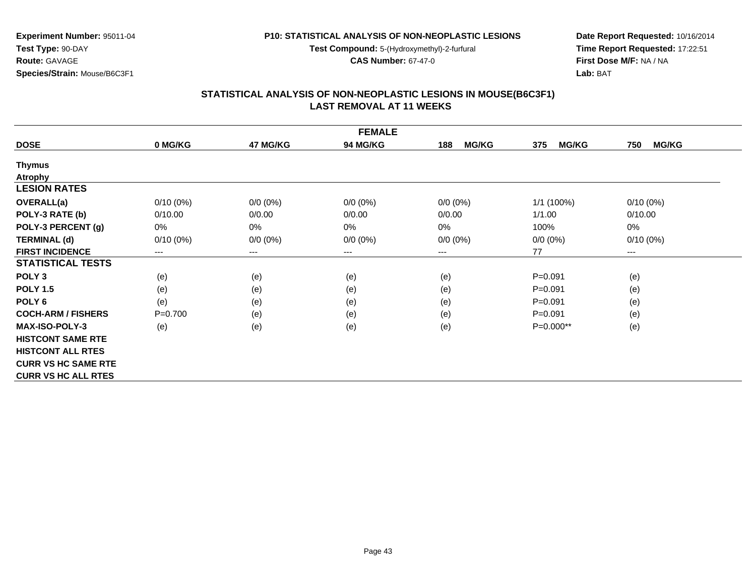**Test Compound:** 5-(Hydroxymethyl)-2-furfural

**CAS Number:** 67-47-0

**Date Report Requested:** 10/16/2014**Time Report Requested:** 17:22:51**First Dose M/F:** NA / NA**Lab:** BAT

### **STATISTICAL ANALYSIS OF NON-NEOPLASTIC LESIONS IN MOUSE(B6C3F1) LAST REMOVAL AT 11 WEEKS**

| <b>FEMALE</b>              |             |             |                 |                     |                     |                        |
|----------------------------|-------------|-------------|-----------------|---------------------|---------------------|------------------------|
| <b>DOSE</b>                | 0 MG/KG     | 47 MG/KG    | <b>94 MG/KG</b> | <b>MG/KG</b><br>188 | <b>MG/KG</b><br>375 | <b>MG/KG</b><br>750    |
| <b>Thymus</b>              |             |             |                 |                     |                     |                        |
| <b>Atrophy</b>             |             |             |                 |                     |                     |                        |
| <b>LESION RATES</b>        |             |             |                 |                     |                     |                        |
| <b>OVERALL(a)</b>          | $0/10(0\%)$ | $0/0 (0\%)$ | $0/0 (0\%)$     | $0/0 (0\%)$         | $1/1$ (100%)        | $0/10(0\%)$            |
| POLY-3 RATE (b)            | 0/10.00     | 0/0.00      | 0/0.00          | 0/0.00              | 1/1.00              | 0/10.00                |
| POLY-3 PERCENT (g)         | 0%          | 0%          | 0%              | 0%                  | 100%                | 0%                     |
| <b>TERMINAL (d)</b>        | $0/10(0\%)$ | $0/0 (0\%)$ | $0/0 (0\%)$     | $0/0 (0\%)$         | $0/0 (0\%)$         | $0/10(0\%)$            |
| <b>FIRST INCIDENCE</b>     | $---$       | ---         | $--$            | ---                 | 77                  | $\qquad \qquad \cdots$ |
| <b>STATISTICAL TESTS</b>   |             |             |                 |                     |                     |                        |
| POLY <sub>3</sub>          | (e)         | (e)         | (e)             | (e)                 | $P = 0.091$         | (e)                    |
| <b>POLY 1.5</b>            | (e)         | (e)         | (e)             | (e)                 | $P = 0.091$         | (e)                    |
| POLY <sub>6</sub>          | (e)         | (e)         | (e)             | (e)                 | $P = 0.091$         | (e)                    |
| <b>COCH-ARM / FISHERS</b>  | $P=0.700$   | (e)         | (e)             | (e)                 | $P = 0.091$         | (e)                    |
| <b>MAX-ISO-POLY-3</b>      | (e)         | (e)         | (e)             | (e)                 | $P=0.000**$         | (e)                    |
| <b>HISTCONT SAME RTE</b>   |             |             |                 |                     |                     |                        |
| <b>HISTCONT ALL RTES</b>   |             |             |                 |                     |                     |                        |
| <b>CURR VS HC SAME RTE</b> |             |             |                 |                     |                     |                        |
| <b>CURR VS HC ALL RTES</b> |             |             |                 |                     |                     |                        |